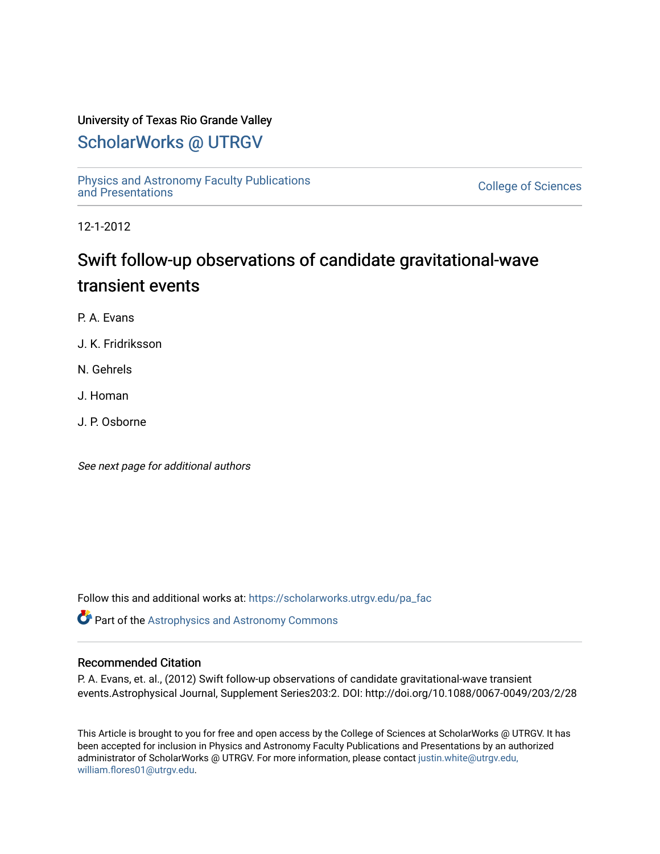## University of Texas Rio Grande Valley

## [ScholarWorks @ UTRGV](https://scholarworks.utrgv.edu/)

[Physics and Astronomy Faculty Publications](https://scholarworks.utrgv.edu/pa_fac) [and Presentations](https://scholarworks.utrgv.edu/pa_fac) [College of Sciences](https://scholarworks.utrgv.edu/cos) 

12-1-2012

# Swift follow-up observations of candidate gravitational-wave transient events

P. A. Evans

J. K. Fridriksson

N. Gehrels

J. Homan

J. P. Osborne

See next page for additional authors

Follow this and additional works at: [https://scholarworks.utrgv.edu/pa\\_fac](https://scholarworks.utrgv.edu/pa_fac?utm_source=scholarworks.utrgv.edu%2Fpa_fac%2F114&utm_medium=PDF&utm_campaign=PDFCoverPages) 

**Part of the Astrophysics and Astronomy Commons** 

## Recommended Citation

P. A. Evans, et. al., (2012) Swift follow-up observations of candidate gravitational-wave transient events.Astrophysical Journal, Supplement Series203:2. DOI: http://doi.org/10.1088/0067-0049/203/2/28

This Article is brought to you for free and open access by the College of Sciences at ScholarWorks @ UTRGV. It has been accepted for inclusion in Physics and Astronomy Faculty Publications and Presentations by an authorized administrator of ScholarWorks @ UTRGV. For more information, please contact [justin.white@utrgv.edu,](mailto:justin.white@utrgv.edu,%20william.flores01@utrgv.edu)  [william.flores01@utrgv.edu](mailto:justin.white@utrgv.edu,%20william.flores01@utrgv.edu).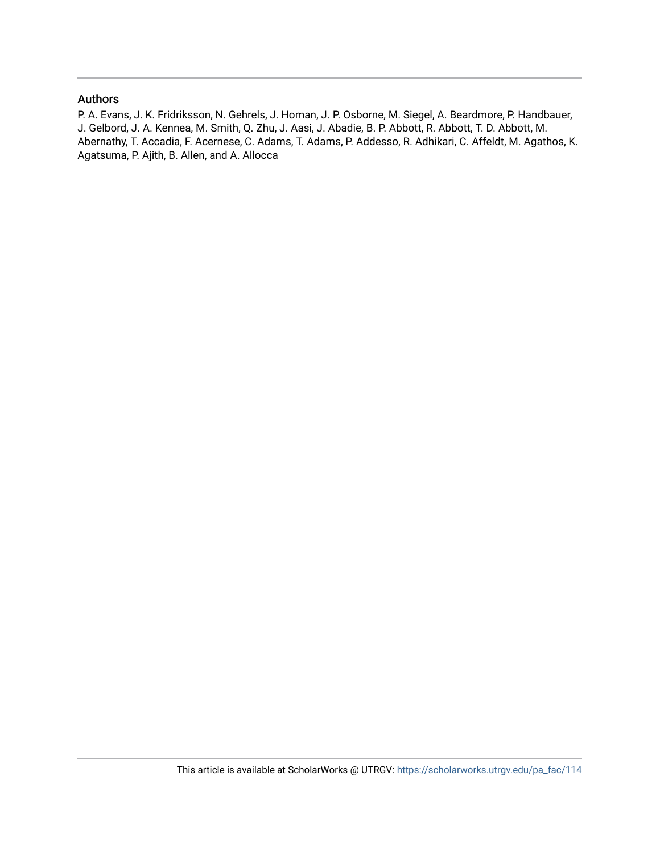## Authors

P. A. Evans, J. K. Fridriksson, N. Gehrels, J. Homan, J. P. Osborne, M. Siegel, A. Beardmore, P. Handbauer, J. Gelbord, J. A. Kennea, M. Smith, Q. Zhu, J. Aasi, J. Abadie, B. P. Abbott, R. Abbott, T. D. Abbott, M. Abernathy, T. Accadia, F. Acernese, C. Adams, T. Adams, P. Addesso, R. Adhikari, C. Affeldt, M. Agathos, K. Agatsuma, P. Ajith, B. Allen, and A. Allocca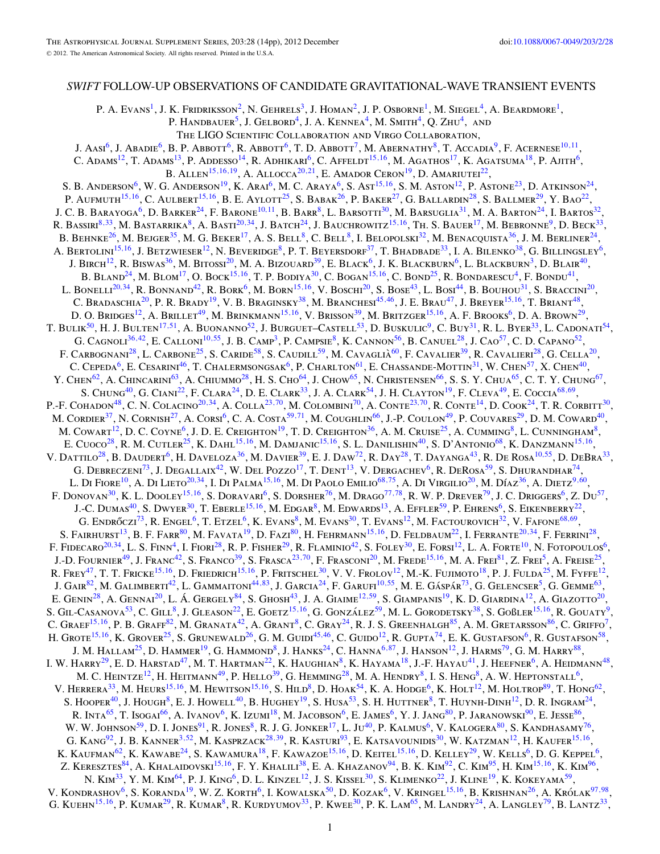## *SWIFT* FOLLOW-UP OBSERVATIONS OF CANDIDATE GRAVITATIONAL-WAVE TRANSIENT EVENTS

P. A. Evans<sup>1</sup>, J. K. Fridriksson<sup>2</sup>, N. Gehrels<sup>3</sup>, J. Homan<sup>2</sup>, J. P. Osborne<sup>1</sup>, M. Siegel<sup>4</sup>, A. Beardmore<sup>1</sup>,

P. HANDBAUER<sup>5</sup>, J. GELBORD<sup>4</sup>, J. A. KENNEA<sup>4</sup>, M. SMITH<sup>4</sup>, O. ZHU<sup>4</sup>, AND

The LIGO Scientific Collaboration and Virgo Collaboration,

J. Aasi<sup>6</sup>, J. Abadie<sup>6</sup>, B. P. Abbott<sup>6</sup>, R. Abbott<sup>6</sup>, T. D. Abbott<sup>7</sup>, M. Abernathy<sup>8</sup>, T. Accadia<sup>9</sup>, F. Acernese<sup>10,11</sup>,

C. Adams<sup>12</sup>, T. Adams<sup>13</sup>, P. Addesso<sup>14</sup>, R. Adhikari<sup>6</sup>, C. Affeldt<sup>15,16</sup>, M. Agathos<sup>17</sup>, K. Agatsuma<sup>18</sup>, P. Ajith<sup>6</sup>, B. ALLEN<sup>15,16,19</sup>, A. ALLOCCA<sup>20,21</sup>, E. AMADOR CERON<sup>19</sup>, D. AMARIUTEI<sup>22</sup>,

S. B. ANDERSON<sup>6</sup>, W. G. ANDERSON<sup>19</sup>, K. Arai<sup>6</sup>, M. C. Araya<sup>6</sup>, S. Ast<sup>15,16</sup>, S. M. Aston<sup>12</sup>, P. Astone<sup>23</sup>, D. Atkinson<sup>24</sup>, P. AUFMUTH<sup>15,16</sup>, C. AULBERT<sup>15,16</sup>, B. E. AYLOTT<sup>25</sup>, S. BABAK<sup>26</sup>, P. BAKER<sup>27</sup>, G. BALLARDIN<sup>28</sup>, S. BALLMER<sup>29</sup>, Y. Bao<sup>22</sup>, J. C. B. Barayoga<sup>6</sup>, D. Barker<sup>24</sup>, F. Barone<sup>10,11</sup>, B. Barr<sup>8</sup>, L. Barsotti<sup>30</sup>, M. Barsuglia<sup>31</sup>, M. A. Barton<sup>24</sup>, I. Bartos<sup>32</sup> R. BASSIRI<sup>8,33</sup>, M. BASTARRIKA<sup>8</sup>, A. BASTI<sup>20,34</sup>, J. BATCH<sup>24</sup>, J. BAUCHROWITZ<sup>15,16</sup>, TH. S. BAUER<sup>17</sup>, M. BEBRONNE<sup>9</sup>, D. BECK<sup>33</sup>, B. BEHNKE<sup>26</sup>, M. BEJGER<sup>35</sup>, M. G. BEKER<sup>17</sup>, A. S. BELL<sup>8</sup>, C. BELL<sup>8</sup>, I. BELOPOLSKI<sup>32</sup>, M. BENACQUISTA<sup>36</sup>, J. M. BERLINER<sup>24</sup>, A. Bertolini<sup>15,16</sup>, J. Betzwieser<sup>12</sup>, N. Beveridge<sup>8</sup>, P. T. Beyersdorf<sup>37</sup>, T. Bhadbade<sup>33</sup>, I. A. Bilenko<sup>38</sup>, G. Billingsley<sup>6</sup>, J. BIRCH<sup>12</sup>, R. BISWAS<sup>36</sup>, M. BITOSSI<sup>20</sup>, M. A. BIZOUARD<sup>39</sup>, E. BLACK<sup>6</sup>, J. K. BLACKBURN<sup>6</sup>, L. BLACKBURN<sup>3</sup>, D. BLAIR<sup>40</sup>, B. Bland<sup>24</sup>, M. Blom<sup>17</sup>, O. Bock<sup>15,16</sup>, T. P. Bodiya<sup>30</sup>, C. Bogan<sup>15,16</sup>, C. Bond<sup>25</sup>, R. Bondarescu<sup>4</sup>, F. Bondu<sup>41</sup>, L. Bonelli<sup>20,34</sup>, R. Bonnand<sup>42</sup>, R. Bork<sup>6</sup>, M. Born<sup>15,16</sup>, V. Boschi<sup>20</sup>, S. Bose<sup>43</sup>, L. Bosi<sup>44</sup>, B. Bouhou<sup>31</sup>, S. Braccini<sup>20</sup>, C. Bradaschia<sup>20</sup>, P. R. Brady<sup>19</sup>, V. B. Braginsky<sup>38</sup>, M. Branchesi<sup>45,46</sup>, J. E. Brau<sup>47</sup>, J. Breyer<sup>15,16</sup>, T. Briant<sup>48</sup>, D. O. Bridges<sup>12</sup>, A. Brillet<sup>49</sup>, M. Brinkmann<sup>15,16</sup>, V. Brisson<sup>39</sup>, M. Britzger<sup>15,16</sup>, A. F. Brooks<sup>6</sup>, D. A. Brown<sup>29</sup>, T. BULIK<sup>50</sup>, H. J. BULTEN<sup>17,51</sup>, A. BUONANNO<sup>52</sup>, J. BURGUET–CASTELL<sup>53</sup>, D. BUSKULIC<sup>9</sup>, C. BUY<sup>31</sup>, R. L. BYER<sup>33</sup>, L. CADONATI<sup>54</sup>, G. CAGNOLI<sup>36,42</sup>, E. CALLONI<sup>10,55</sup>, J. B. CAMP<sup>3</sup>, P. CAMPSIE<sup>8</sup>, K. CANNON<sup>56</sup>, B. CANUEL<sup>28</sup>, J. CAO<sup>57</sup>, C. D. CAPANO<sup>52</sup>, F. CARBOGNANI<sup>28</sup>, L. CARBONE<sup>25</sup>, S. CARIDE<sup>58</sup>, S. CAUDILL<sup>59</sup>, M. CAVAGLIÀ<sup>60</sup>, F. CAVALIER<sup>39</sup>, R. CAVALIERI<sup>28</sup>, G. CELLA<sup>20</sup>, C. CEPEDA<sup>6</sup>, E. CESARINI<sup>46</sup>, T. CHALERMSONGSAK<sup>6</sup>, P. CHARLTON<sup>61</sup>, E. CHASSANDE-MOTTIN<sup>31</sup>, W. CHEN<sup>57</sup>, X. CHEN<sup>40</sup>, Y. CHEN<sup>62</sup>, A. CHINCARINI<sup>63</sup>, A. CHIUMMO<sup>28</sup>, H. S. CHO<sup>64</sup>, J. CHOW<sup>65</sup>, N. CHRISTENSEN<sup>66</sup>, S. S. Y. CHUA<sup>65</sup>, C. T. Y. CHUNG<sup>67</sup>, S. CHUNG<sup>40</sup>, G. CIANI<sup>22</sup>, F. CLARA<sup>24</sup>, D. E. CLARK<sup>33</sup>, J. A. CLARK<sup>54</sup>, J. H. CLAYTON<sup>19</sup>, F. CLEVA<sup>49</sup>, E. Coccia<sup>68,69</sup>, P.-F. COHADON<sup>48</sup>, C. N. COLACINO<sup>20,34</sup>, A. COLLA<sup>23,70</sup>, M. COLOMBINI<sup>70</sup>, A. CONTE<sup>23,70</sup>, R. CONTE<sup>14</sup>, D. COOK<sup>24</sup>, T. R. CORBITT<sup>30</sup>, M. CORDIER<sup>37</sup>, N. CORNISH<sup>27</sup>, A. CORSI<sup>6</sup>, C. A. COSTA<sup>59,71</sup>, M. COUGHLIN<sup>66</sup>, J.-P. COULON<sup>49</sup>, P. COUVARES<sup>29</sup>, D. M. COWARD<sup>40</sup>, M. COWART<sup>12</sup>, D. C. COYNE<sup>6</sup>, J. D. E. CREIGHTON<sup>19</sup>, T. D. CREIGHTON<sup>36</sup>, A. M. CRUISE<sup>25</sup>, A. CUMMING<sup>8</sup>, L. CUNNINGHAM<sup>8</sup>, E. Cuoco<sup>28</sup>, R. M. Cutler<sup>25</sup>, K. Dahl<sup>15,16</sup>, M. Damjanic<sup>15,16</sup>, S. L. Danilishin<sup>40</sup>, S. D'Antonio<sup>68</sup>, K. Danzmann<sup>15,16</sup>, V. DATTILO<sup>28</sup>, B. DAUDERT<sup>6</sup>, H. DAVELOZA<sup>36</sup>, M. DAVIER<sup>39</sup>, E. J. DAW<sup>72</sup>, R. DAY<sup>28</sup>, T. DAYANGA<sup>43</sup>, R. DE ROSA<sup>10,55</sup>, D. DEBRA<sup>33</sup>, G. DEBRECZENI<sup>73</sup>, J. DEGALLAIX<sup>42</sup>, W. DEL POZZO<sup>17</sup>, T. DENT<sup>13</sup>, V. DERGACHEV<sup>6</sup>, R. DEROSA<sup>59</sup>, S. DHURANDHAR<sup>74</sup>, L. Di Fiore<sup>10</sup>, A. Di Lieto<sup>20,34</sup>, I. Di Palma<sup>15,16</sup>, M. Di Paolo Emilio<sup>68,75</sup>, A. Di Virgilio<sup>20</sup>, M. Díaz<sup>36</sup>, A. Dietz<sup>9,60</sup>, F. DONOVAN<sup>30</sup>, K. L. DOOLEY<sup>15,16</sup>, S. DORAVARI<sup>6</sup>, S. DORSHER<sup>76</sup>, M. DRAGO<sup>77,78</sup>, R. W. P. DREVER<sup>79</sup>, J. C. DRIGGERS<sup>6</sup>, Z. Du<sup>57</sup>, J.-C. DUMAS<sup>40</sup>, S. DWYER<sup>30</sup>, T. EBERLE<sup>15,16</sup>, M. EDGAR<sup>8</sup>, M. EDWARDS<sup>13</sup>, A. EFFLER<sup>59</sup>, P. EHRENS<sup>6</sup>, S. EIKENBERRY<sup>22</sup>, G. ENDRŐCZI<sup>73</sup>, R. ENGEL<sup>6</sup>, T. ETZEL<sup>6</sup>, K. Evans<sup>8</sup>, M. Evans<sup>30</sup>, T. Evans<sup>12</sup>, M. Factourovich<sup>32</sup>, V. Fafone<sup>68,69</sup>, S. FAIRHURST<sup>13</sup>, B. F. FARR<sup>80</sup>, M. FAVATA<sup>19</sup>, D. FAZI<sup>80</sup>, H. FEHRMANN<sup>15,16</sup>, D. FELDBAUM<sup>22</sup>, I. FERRANTE<sup>20,34</sup>, F. FERRINI<sup>28</sup>, F. FIDECARO<sup>20,34</sup>, L. S. FINN<sup>4</sup>, I. FIORI<sup>28</sup>, R. P. FISHER<sup>29</sup>, R. FLAMINIO<sup>42</sup>, S. FOLEY<sup>30</sup>, E. FORSI<sup>12</sup>, L. A. FORTE<sup>10</sup>, N. FOTOPOULOS<sup>6</sup>, J.-D. FOURNIER<sup>49</sup>, J. FRANC<sup>42</sup>, S. FRANCO<sup>39</sup>, S. FRASCA<sup>23,70</sup>, F. FRASCONI<sup>20</sup>, M. FREDE<sup>15,16</sup>, M. A. FREI<sup>81</sup>, Z. FREI<sup>5</sup>, A. FREISE<sup>25</sup>, R. FREY<sup>47</sup>, T. T. FRICKE<sup>15,16</sup>, D. FRIEDRICH<sup>15,16</sup>, P. FRITSCHEL<sup>30</sup>, V. V. FROLOV<sup>12</sup>, M.-K. FUJIMOTO<sup>18</sup>, P. J. FULDA<sup>25</sup>, M. FYFFE<sup>12</sup>, J. GAIR<sup>82</sup>, M. GALIMBERTI<sup>42</sup>, L. GAMMAITONI<sup>44,83</sup>, J. GARCIA<sup>24</sup>, F. GARUFI<sup>10,55</sup>, M. E. GÁSPÁR<sup>73</sup>, G. GELENCSER<sup>5</sup>, G. GEMME<sup>63</sup>, E. GENIN<sup>28</sup>, A. GENNAI<sup>20</sup>, L. Á. GERGELY<sup>84</sup>, S. GHOSH<sup>43</sup>, J. A. GIAIME<sup>12,59</sup>, S. GIAMPANIS<sup>19</sup>, K. D. GIARDINA<sup>12</sup>, A. GIAZOTTO<sup>20</sup>, S. GIL-CASANOVA<sup>53</sup>, C. GILL<sup>8</sup>, J. GLEASON<sup>22</sup>, E. GOETZ<sup>15,16</sup>, G. GONZÁLEZ<sup>59</sup>, M. L. GORODETSKY<sup>38</sup>, S. GOBLER<sup>15,16</sup>, R. GOUATY<sup>9</sup>, C. GRAEF<sup>15,16</sup>, P. B. GRAFF<sup>82</sup>, M. GRANATA<sup>42</sup>, A. GRANT<sup>8</sup>, C. GRAY<sup>24</sup>, R. J. S. GREENHALGH<sup>85</sup>, A. M. GRETARSSON<sup>86</sup>, C. GRIFFO<sup>7</sup>, H. GROTE<sup>15,16</sup>, K. GROVER<sup>25</sup>, S. GRUNEWALD<sup>26</sup>, G. M. GUIDI<sup>45,46</sup>, C. GUIDO<sup>12</sup>, R. GUPTA<sup>74</sup>, E. K. GUSTAFSON<sup>6</sup>, R. GUSTAFSON<sup>58</sup>, J. M. Hallam<sup>25</sup>, D. Hammer<sup>19</sup>, G. Hammond<sup>8</sup>, J. Hanks<sup>24</sup>, C. Hanna<sup>6,87</sup>, J. Hanson<sup>12</sup>, J. Harms<sup>79</sup>, G. M. Harry<sup>88</sup>, I. W. Harry<sup>29</sup>, E. D. Harstad<sup>47</sup>, M. T. Hartman<sup>22</sup>, K. Haughian<sup>8</sup>, K. Hayama<sup>18</sup>, J.-F. Hayau<sup>41</sup>, J. Heefner<sup>6</sup>, A. Heidmann<sup>48</sup>, M. C. HEINTZE<sup>12</sup>, H. HEITMANN<sup>49</sup>, P. HELLO<sup>39</sup>, G. HEMMING<sup>28</sup>, M. A. HENDRY<sup>8</sup>, I. S. HENG<sup>8</sup>, A. W. HEPTONSTALL<sup>6</sup>, V. HERRERA<sup>33</sup>, M. HEURS<sup>15,16</sup>, M. HEWITSON<sup>15,16</sup>, S. HILD<sup>8</sup>, D. HOAK<sup>54</sup>, K. A. HODGE<sup>6</sup>, K. HOLT<sup>12</sup>, M. HOLTROP<sup>89</sup>, T. HONG<sup>62</sup>, S. HOOPER<sup>40</sup>, J. HOUGH<sup>8</sup>, E. J. HOWELL<sup>40</sup>, B. HUGHEY<sup>19</sup>, S. HUSA<sup>53</sup>, S. H. HUTTNER<sup>8</sup>, T. HUYNH-DINH<sup>12</sup>, D. R. INGRAM<sup>24</sup>, R. Inta<sup>65</sup>, T. Isogai<sup>66</sup>, A. Ivanov<sup>6</sup>, K. Izumi<sup>18</sup>, M. Jacobson<sup>6</sup>, E. James<sup>6</sup>, Y. J. Jang<sup>80</sup>, P. Jaranowski<sup>90</sup>, E. Jesse<sup>86</sup>, W. W. JOHNSON<sup>59</sup>, D. I. JONES<sup>91</sup>, R. JONES<sup>8</sup>, R. J. G. JONKER<sup>17</sup>, L. JU<sup>40</sup>, P. KALMUS<sup>6</sup>, V. KALOGERA<sup>80</sup>, S. KANDHASAMY<sup>76</sup>, G. KANG<sup>92</sup>, J. B. KANNER<sup>3,52</sup>, M. KASPRZACK<sup>28,39</sup>, R. KASTURI<sup>93</sup>, E. KATSAVOUNIDIS<sup>30</sup>, W. KATZMAN<sup>12</sup>, H. KAUFER<sup>15,16</sup>, K. Kaufman<sup>62</sup>, K. Kawabe<sup>24</sup>, S. Kawamura<sup>18</sup>, F. Kawazoe<sup>15,16</sup>, D. Keitel<sup>15,16</sup>, D. Kelley<sup>29</sup>, W. Kells<sup>6</sup>, D. G. Keppel<sup>6</sup>, Z. Keresztes<sup>84</sup>, A. Khalaidovski<sup>15,16</sup>, F. Y. Khalili<sup>38</sup>, E. A. Khazanov<sup>94</sup>, B. K. Kim<sup>92</sup>, C. Kim<sup>95</sup>, H. Kim<sup>15,16</sup>, K. Kim<sup>96</sup>, N. KIM<sup>33</sup>, Y. M. KIM<sup>64</sup>, P. J. KING<sup>6</sup>, D. L. KINZEL<sup>12</sup>, J. S. KISSEL<sup>30</sup>, S. KLIMENKO<sup>22</sup>, J. KLINE<sup>19</sup>, K. KOKEYAMA<sup>59</sup>, V. KONDRASHOV<sup>6</sup>, S. KORANDA<sup>19</sup>, W. Z. KORTH<sup>6</sup>, I. KOWALSKA<sup>50</sup>, D. KOZAK<sup>6</sup>, V. KRINGEL<sup>15,16</sup>, B. KRISHNAN<sup>26</sup>, A. KRÓLAK<sup>97,98</sup>, G. KUEHN<sup>15,16</sup>, P. KUMAR<sup>29</sup>, R. KUMAR<sup>8</sup>, R. KURDYUMOV<sup>33</sup>, P. KWEE<sup>30</sup>, P. K. LAM<sup>65</sup>, M. LANDRY<sup>24</sup>, A. LANGLEY<sup>79</sup>, B. LANTZ<sup>33</sup>,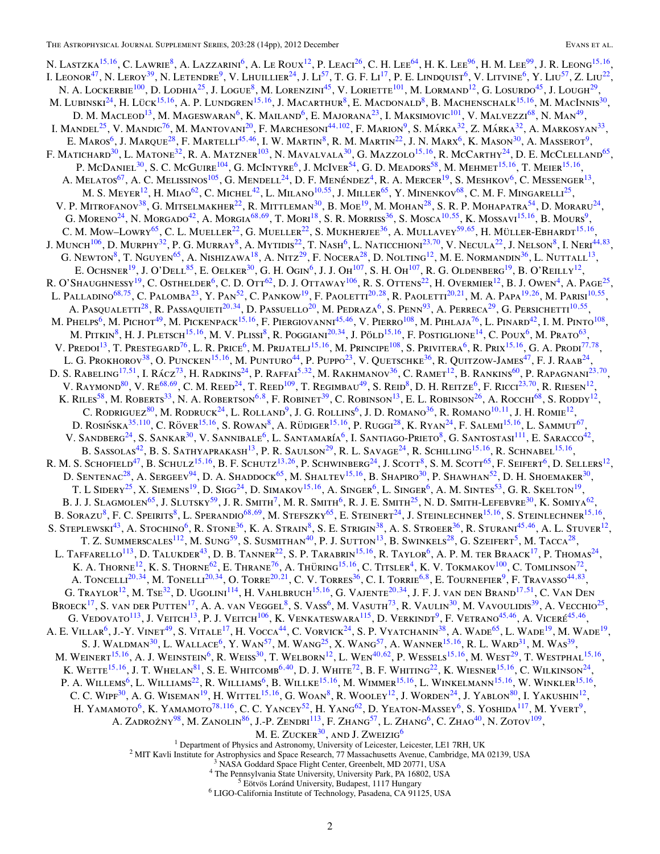N. LASTZKA<sup>15,16</sup>, C. LAWRIE<sup>8</sup>, A. LAZZARINI<sup>6</sup>, A. LE ROUX<sup>12</sup>, P. LEACI<sup>26</sup>, C. H. LEE<sup>64</sup>, H. K. LEE<sup>96</sup>, H. M. LEE<sup>99</sup>, J. R. LEONG<sup>15,16</sup>, I. LEONOR<sup>47</sup>, N. LEROY<sup>39</sup>, N. LETENDRE<sup>9</sup>, V. LHUILLIER<sup>24</sup>, J. Li<sup>57</sup>, T. G. F. Li<sup>17</sup>, P. E. LINDQUIST<sup>6</sup>, V. LITVINE<sup>6</sup>, Y. LIU<sup>57</sup>, Z. LIU<sup>22</sup>, N. A. LOCKERBIE<sup>100</sup>, D. LODHIA<sup>25</sup>, J. LOGUE<sup>8</sup>, M. LORENZINI<sup>45</sup>, V. LORIETTE<sup>101</sup>, M. LORMAND<sup>12</sup>, G. LOSURDO<sup>45</sup>, J. LOUGH<sup>29</sup>, M. LUBINSKI<sup>24</sup>, H. LÜCK<sup>15,16</sup>, A. P. LUNDGREN<sup>15,16</sup>, J. MACARTHUR<sup>8</sup>, E. MACDONALD<sup>8</sup>, B. MACHENSCHALK<sup>15,16</sup>, M. MACINNIS<sup>30</sup>, D. M. Macleod<sup>13</sup>, M. Mageswaran<sup>6</sup>, K. Mailand<sup>6</sup>, E. Majorana<sup>23</sup>, I. Maksimovic<sup>101</sup>, V. Malvezzi<sup>68</sup>, N. Man<sup>49</sup>, I. MANDEL<sup>25</sup>, V. MANDIC<sup>76</sup>, M. MANTOVANI<sup>20</sup>, F. MARCHESONI<sup>44,102</sup>, F. MARION<sup>9</sup>, S. MÁRKA<sup>32</sup>, Z. MÁRKA<sup>32</sup>, A. MARKOSYAN<sup>33</sup>, E. Maros<sup>6</sup>, J. Marque<sup>28</sup>, F. Martelli<sup>45,46</sup>, I. W. Martin<sup>8</sup>, R. M. Martin<sup>22</sup>, J. N. Marx<sup>6</sup>, K. Mason<sup>30</sup>, A. Masserot<sup>9</sup>, F. MATICHARD<sup>30</sup>, L. MATONE<sup>32</sup>, R. A. MATZNER<sup>103</sup>, N. MAVALVALA<sup>30</sup>, G. MAZZOLO<sup>15,16</sup>, R. McCarthy<sup>24</sup>, D. E. McClelland<sup>65</sup>, P. McDaniel<sup>30</sup>, S. C. McGuire<sup>104</sup>, G. McIntyre<sup>6</sup>, J. McIver<sup>54</sup>, G. D. Meadors<sup>58</sup>, M. Mehmet<sup>15,16</sup>, T. Meier<sup>15,16</sup>, A. MELATOS<sup>67</sup>, A. C. MELISSINOS<sup>105</sup>, G. MENDELL<sup>24</sup>, D. F. MENÉNDEZ<sup>4</sup>, R. A. MERCER<sup>19</sup>, S. MESHKOV<sup>6</sup>, C. MESSENGER<sup>13</sup>, M. S. Meyer<sup>12</sup>, H. Miao<sup>62</sup>, C. Michel<sup>42</sup>, L. Milano<sup>10,55</sup>, J. Miller<sup>65</sup>, Y. Minenkov<sup>68</sup>, C. M. F. Mingarelli<sup>25</sup>, V. P. MITROFANOV<sup>38</sup>, G. MITSELMAKHER<sup>22</sup>, R. MITTLEMAN<sup>30</sup>, B. MOE<sup>19</sup>, M. MOHAN<sup>28</sup>, S. R. P. MOHAPATRA<sup>54</sup>, D. MORARU<sup>24</sup>, G. MORENO<sup>24</sup>, N. MORGADO<sup>42</sup>, A. MORGIA<sup>68,69</sup>, T. MORI<sup>18</sup>, S. R. MORRISS<sup>36</sup>, S. MOSCA<sup>10,55</sup>, K. MOSSAVI<sup>15,16</sup>, B. MOURS<sup>9</sup>, C. M. Mow–Lowry<sup>65</sup>, C. L. Mueller<sup>22</sup>, G. Mueller<sup>22</sup>, S. Mukherjee<sup>36</sup>, A. Mullavey<sup>59,65</sup>, H. Müller-Ebhardt<sup>15,16</sup>, J. Munch<sup>106</sup>, D. Murphy<sup>32</sup>, P. G. Murray<sup>8</sup>, A. Mytidis<sup>22</sup>, T. Nash<sup>6</sup>, L. Naticchioni<sup>23,70</sup>, V. Necula<sup>22</sup>, J. Nelson<sup>8</sup>, I. Neri<sup>44,83</sup>, G. NEWTON<sup>8</sup>, T. NGUYEN<sup>65</sup>, A. NISHIZAWA<sup>18</sup>, A. NITZ<sup>29</sup>, F. NOCERA<sup>28</sup>, D. NOLTING<sup>12</sup>, M. E. NORMANDIN<sup>36</sup>, L. NUTTALL<sup>13</sup>, E. OCHSNER<sup>19</sup>, J. O'DELL<sup>85</sup>, E. OELKER<sup>30</sup>, G. H. OGIN<sup>6</sup>, J. J. Oh<sup>107</sup>, S. H. Oh<sup>107</sup>, R. G. OLDENBERG<sup>19</sup>, B. O'REILLY<sup>12</sup>, R. O'SHAUGHNESSY<sup>19</sup>, C. OSTHELDER<sup>6</sup>, C. D. OTT<sup>62</sup>, D. J. OTTAWAY<sup>106</sup>, R. S. OTTENS<sup>22</sup>, H. OVERMIER<sup>12</sup>, B. J. OWEN<sup>4</sup>, A. PAGE<sup>25</sup>, L. Palladino68*,*75, C. Palomba23, Y. Pan52, C. Pankow19, F. Paoletti20*,*28, R. Paoletti20*,*21, M. A. Papa19*,*26, M. Parisi10*,*55, A. Pasqualetti28, R. Passaquieti20*,*34, D. Passuello20, M. Pedraza6, S. Penn93, A. Perreca29, G. Persichetti10*,*55, M. PHELPS<sup>6</sup>, M. PICHOT<sup>49</sup>, M. PICKENPACK<sup>15,16</sup>, F. PIERGIOVANNI<sup>45,46</sup>, V. PIERRO<sup>108</sup>, M. PIHLAJA<sup>76</sup>, L. PINARD<sup>42</sup>, I. M. PINTO<sup>108</sup>, M. PITKIN<sup>8</sup>, H. J. PLETSCH<sup>15,16</sup>, M. V. PLISSI<sup>8</sup>, R. POGGIANI<sup>20,34</sup>, J. PÖLD<sup>15,16</sup>, F. POSTIGLIONE<sup>14</sup>, C. POUX<sup>6</sup>, M. PRATO<sup>63</sup>, V. PREDOI<sup>13</sup>, T. PRESTEGARD<sup>76</sup>, L. R. PRICE<sup>6</sup>, M. PRIJATELJ<sup>15,16</sup>, M. PRINCIPE<sup>108</sup>, S. PRIVITERA<sup>6</sup>, R. PRIX<sup>15,16</sup>, G. A. PRODI<sup>77,78</sup>, L. G. Prokhorov<sup>38</sup>, O. Puncken<sup>15,16</sup>, M. Punturo<sup>44</sup>, P. Puppo<sup>23</sup>, V. Quetschke<sup>36</sup>, R. Quitzow-James<sup>47</sup>, F. J. Raab<sup>24</sup>, D. S. Rabeling<sup>17,51</sup>, I. Rácz<sup>73</sup>, H. Radkins<sup>24</sup>, P. Raffai<sup>5,32</sup>, M. Rakhmanov<sup>36</sup>, C. Ramet<sup>12</sup>, B. Rankins<sup>60</sup>, P. Rapagnani<sup>23,70</sup>, V. RAYMOND<sup>80</sup>, V. RE<sup>68,69</sup>, C. M. REED<sup>24</sup>, T. REED<sup>109</sup>, T. REGIMBAU<sup>49</sup>, S. REID<sup>8</sup>, D. H. REITZE<sup>6</sup>, F. RICCI<sup>23,70</sup>, R. RIESEN<sup>12</sup>, K. Riles<sup>58</sup>, M. Roberts<sup>33</sup>, N. A. Robertson<sup>6,8</sup>, F. Robinet<sup>39</sup>, C. Robinson<sup>13</sup>, E. L. Robinson<sup>26</sup>, A. Rocchi<sup>68</sup>, S. Roddy<sup>12</sup>, C. RODRIGUEZ<sup>80</sup>, M. RODRUCK<sup>24</sup>, L. ROLLAND<sup>9</sup>, J. G. ROLLINS<sup>6</sup>, J. D. ROMANO<sup>36</sup>, R. ROMANO<sup>10,11</sup>, J. H. ROMIE<sup>12</sup>, D. ROSIŃSKA<sup>35,110</sup>, C. RÖVER<sup>15,16</sup>, S. ROWAN<sup>8</sup>, A. RÜDIGER<sup>15,16</sup>, P. RUGGI<sup>28</sup>, K. RYAN<sup>24</sup>, F. SALEMI<sup>15,16</sup>, L. SAMMUT<sup>67</sup>, V. SANDBERG<sup>24</sup>, S. SANKAR<sup>30</sup>, V. SANNIBALE<sup>6</sup>, L. SANTAMARÍA<sup>6</sup>, I. SANTIAGO-PRIETO<sup>8</sup>, G. SANTOSTASI<sup>111</sup>, E. SARACCO<sup>42</sup>, B. SASSOLAS<sup>42</sup>, B. S. SATHYAPRAKASH<sup>13</sup>, P. R. SAULSON<sup>29</sup>, R. L. SAVAGE<sup>24</sup>, R. SCHILLING<sup>15,16</sup>, R. SCHNABEL<sup>15,16</sup>, R. M. S. Schofield<sup>47</sup>, B. Schulz<sup>15,16</sup>, B. F. Schutz<sup>13,26</sup>, P. Schwinberg<sup>24</sup>, J. Scott<sup>8</sup>, S. M. Scott<sup>65</sup>, F. Seifert<sup>6</sup>, D. Sellers<sup>12</sup>, D. SENTENAC<sup>28</sup>, A. SERGEEV<sup>94</sup>, D. A. SHADDOCK<sup>65</sup>, M. SHALTEV<sup>15,16</sup>, B. SHAPIRO<sup>30</sup>, P. SHAWHAN<sup>52</sup>, D. H. SHOEMAKER<sup>30</sup>, T. L SIDERY<sup>25</sup>, X. SIEMENS<sup>19</sup>, D. SIGG<sup>24</sup>, D. SIMAKOV<sup>15,16</sup>, A. SINGER<sup>6</sup>, L. SINGER<sup>6</sup>, A. M. SINTES<sup>53</sup>, G. R. SKELTON<sup>19</sup>, B. J. J. SLAGMOLEN<sup>65</sup>, J. SLUTSKY<sup>59</sup>, J. R. SMITH<sup>7</sup>, M. R. SMITH<sup>6</sup>, R. J. E. SMITH<sup>25</sup>, N. D. SMITH-LEFEBVRE<sup>30</sup>, K. SOMIYA<sup>62</sup>, B. Sorazu<sup>8</sup>, F. C. Speirits<sup>8</sup>, L. Sperandio<sup>68,69</sup>, M. Stefszky<sup>65</sup>, E. Steinert<sup>24</sup>, J. Steinlechner<sup>15,16</sup>, S. Steinlechner<sup>15,16</sup>, S. Steplewski<sup>43</sup>, A. Stochino<sup>6</sup>, R. Stone<sup>36</sup>, K. A. Strain<sup>8</sup>, S. E. Strigin<sup>38</sup>, A. S. Stroeer<sup>36</sup>, R. Sturani<sup>45,46</sup>, A. L. Stuver<sup>12</sup>, T. Z. Summerscales<sup>112</sup>, M. Sung<sup>59</sup>, S. Susmithan<sup>40</sup>, P. J. Sutton<sup>13</sup>, B. Swinkels<sup>28</sup>, G. Szeifert<sup>5</sup>, M. Tacca<sup>28</sup>, L. TAFFARELLO<sup>113</sup>, D. TALUKDER<sup>43</sup>, D. B. TANNER<sup>22</sup>, S. P. TARABRIN<sup>15,16</sup>, R. TAYLOR<sup>6</sup>, A. P. M. TER BRAACK<sup>17</sup>, P. THOMAS<sup>24</sup>, K. A. Thorne<sup>12</sup>, K. S. Thorne<sup>62</sup>, E. Thrane<sup>76</sup>, A. Thüring <sup>15,16</sup>, C. Titsler<sup>4</sup>, K. V. Tokmakov<sup>100</sup>, C. Tomlinson<sup>72</sup>, A. TONCELLI<sup>20,34</sup>, M. TONELLI<sup>20,34</sup>, O. TORRE<sup>20,21</sup>, C. V. TORRES<sup>36</sup>, C. I. TORRIE<sup>6,8</sup>, E. TOURNEFIER<sup>9</sup>, F. TRAVASSO<sup>44,83</sup>, G. Traylor<sup>12</sup>, M. Tse<sup>32</sup>, D. Ugolini<sup>114</sup>, H. Vahlbruch<sup>15,16</sup>, G. Vajente<sup>20,34</sup>, J. F. J. van den Brand<sup>17,51</sup>, C. Van Den BROECK<sup>17</sup>, S. VAN DER PUTTEN<sup>17</sup>, A. A. VAN VEGGEL<sup>8</sup>, S. VASS<sup>6</sup>, M. VASUTH<sup>73</sup>, R. VAULIN<sup>30</sup>, M. VAVOULIDIS<sup>39</sup>, A. VECCHIO<sup>25</sup>, G. VEDOVATO<sup>113</sup>, J. VEITCH<sup>13</sup>, P. J. VEITCH<sup>106</sup>, K. VENKATESWARA<sup>115</sup>, D. VERKINDT<sup>9</sup>, F. VETRANO<sup>45,46</sup>, A. VICERÉ<sup>45,46</sup>, A. E. Villar<sup>6</sup>, J.-Y. Vinet<sup>49</sup>, S. Vitale<sup>17</sup>, H. Vocca<sup>44</sup>, C. Vorvick<sup>24</sup>, S. P. Vyatchanin<sup>38</sup>, A. Wade<sup>65</sup>, L. Wade<sup>19</sup>, M. Wade<sup>19</sup>, S. J. Waldman<sup>30</sup>, L. Wallace<sup>6</sup>, Y. Wan<sup>57</sup>, M. Wang<sup>25</sup>, X. Wang<sup>57</sup>, A. Wanner<sup>15,16</sup>, R. L. Ward<sup>31</sup>, M. Was<sup>39</sup>, M. WEINERT<sup>15,16</sup>, A. J. WEINSTEIN<sup>6</sup>, R. WEISS<sup>30</sup>, T. WELBORN<sup>12</sup>, L. WEN<sup>40,62</sup>, P. WESSELS<sup>15,16</sup>, M. WEST<sup>29</sup>, T. WESTPHAL<sup>15,16</sup>, K. WETTE<sup>15,16</sup>, J. T. WHELAN<sup>81</sup>, S. E. WHITCOMB<sup>6,40</sup>, D. J. WHITE<sup>72</sup>, B. F. WHITING<sup>22</sup>, K. WIESNER<sup>15,16</sup>, C. WILKINSON<sup>24</sup>, P. A. WILLEMS<sup>6</sup>, L. WILLIAMS<sup>22</sup>, R. WILLIAMS<sup>6</sup>, B. WILLKE<sup>15,16</sup>, M. WIMMER<sup>15,16</sup>, L. WINKELMANN<sup>15,16</sup>, W. WINKLER<sup>15,16</sup>, C. C. WIPF<sup>30</sup>, A. G. WISEMAN<sup>19</sup>, H. WITTEL<sup>15,16</sup>, G. WOAN<sup>8</sup>, R. WOOLEY<sup>12</sup>, J. WORDEN<sup>24</sup>, J. YABLON<sup>80</sup>, I. YAKUSHIN<sup>12</sup>, H. YAMAMOTO<sup>6</sup>, K. YAMAMOTO<sup>78,116</sup>, C. C. YANCEY<sup>52</sup>, H. YANG<sup>62</sup>, D. YEATON-MASSEY<sup>6</sup>, S. YOSHIDA<sup>117</sup>, M. YVERT<sup>9</sup>, A. ZADROŻNY<sup>98</sup>, M. ZANOLIN<sup>86</sup>, J.-P. ZENDRI<sup>113</sup>, F. ZHANG<sup>57</sup>, L. ZHANG<sup>6</sup>, C. ZHAO<sup>40</sup>, N. ZOTOV<sup>109</sup>,  $M. E. ZUCKER<sup>30</sup>$ , AND J. ZWEIZIG<sup>6</sup><br><sup>1</sup> Department of Physics and Astronomy, University of Leicester, Leicester, LE1 7RH, UK <sup>2</sup> MIT Kavli Institute for Astrophysics and Space Research, 77 Massachusetts Avenue, Cambridge, MA 02139, USA  $4$  The Pennsylvania State University, University Park, PA 16802, USA  $4$  The Pennsylvania State University, U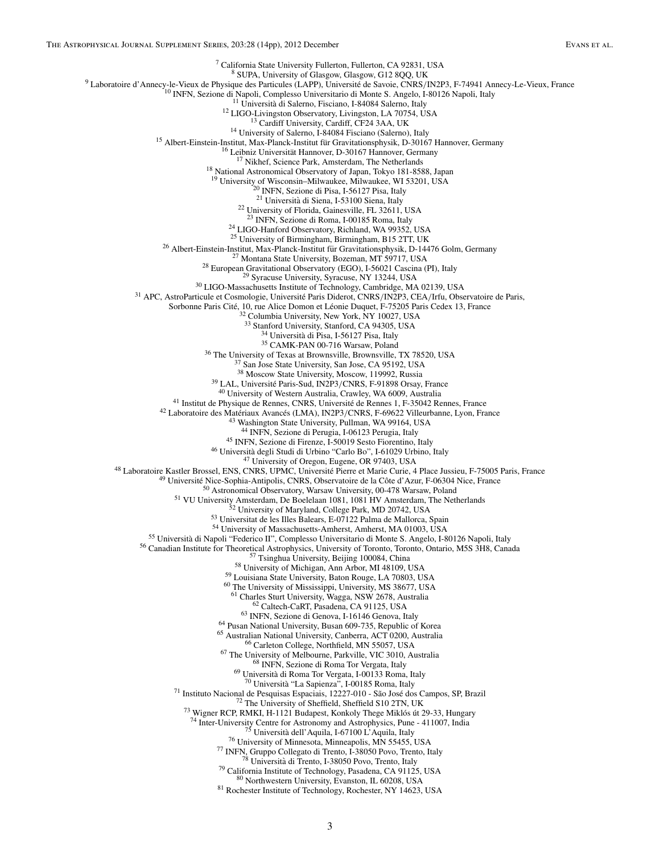<sup>7</sup> California State University Fullerton, CA 92831, USA<br>
<sup>8</sup> SUPA, University of Glasgow, Glasgow, G12 8QQ, UK<br>
<sup>8</sup> SUPA, University of Glasgow, G12 8QQ, UK<br>
<sup>10</sup> INFN, Sezione di Napoli, Complesso Universitatio di Monte <sup>19</sup> University of Wisconsin–Milwaukee, Milwaukee, WI 53201, USA<br><sup>20</sup> INFN, Sezione di Pisa, I-56127 Pisa, Italy<br><sup>21</sup> Università di Siena, I-53100 Siena, Italy <sup>22</sup> University of Florida, Gainesville, FL 32611, USA<br><sup>23</sup> INFN, Sezione di Roma, I-00185 Roma, Italy <sup>24</sup> LIGO-Hanford Observatory, Richland, WA 99352, USA<br><sup>25</sup> University of Birmingham, Birmingham, B15 2TT, UK<br><sup>26</sup> Albert-Einstein-Institut, Max-Planck-Institut für Gravitationsphysik, D-14476 Golm, Germany<br><sup>27</sup> Montana S Sorbonne Paris Cité, 10, rue Alice Domon et Léonie Duquet, F-75205 Paris Cedex 13, France <sup>32</sup> Columbia University, New York, NY 10027, USA <sup>33</sup> Stanford University, Stanford, CA 94305, USA <sup>34</sup> Università di Pisa, I-56127 Pisa, Italy<br><sup>35</sup> CAMK-PAN 00-716 Warsaw, Poland<br><sup>36</sup> The University of Texas at Brownsville, Brownsville, TX 78520, USA<br><sup>37</sup> San Jose State University, San Jose, CA 95192, USA<br><sup>38</sup> Moscow <sup>39</sup> LAL, Université Paris-Sud, IN2P3/CNRS, F-91898 Orsay, France<br><sup>40</sup> University of Western Australia, Crawley, WA 6009, Australia<br><sup>41</sup> Institut de Physique de Rennes, CNRS, Université de Rennes 1, F-35042 Rennes, France <sup>45</sup> INFN, Sezione di Firenze, I-50019 Sesto Fiorentino, Italy<br>
<sup>46</sup> Università degli Studi di Urbino "Carlo Bo", 1-61029 Urbino, Italy<br>
<sup>47</sup> University of Oregon, Eugene, OR 97403, USA<br>
<sup>47</sup> Université Pierre et Marie Cu <sup>62</sup> Caltech-CaRT, Pasadena, CA 91125, USA<br>
<sup>63</sup> INFN, Sezione di Genova, 1-16146 Genova, Italy<br>
<sup>64</sup> Pusan National University, Busan 609-735, Republic of Korea<br>
65 Australian National University, Canberra, ACT 0200, Aus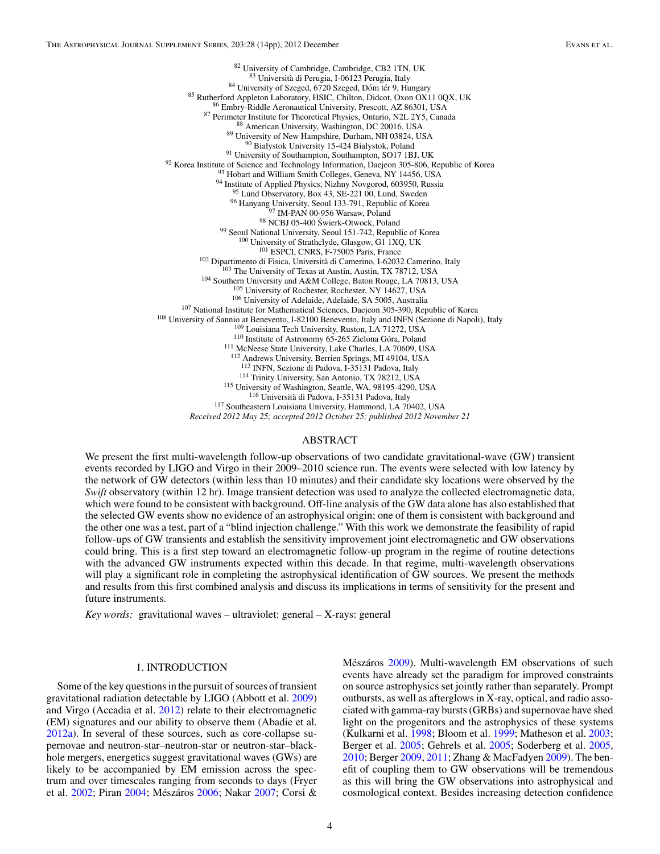<sup>82</sup> University of Cambridge, Cambridge, CB2 1TN, UK<br><sup>83</sup> Università di Perugia, I-06123 Perugia, Italy <sup>85</sup> Università di Perugia, 1-01/23 Perugia, 140<br>
<sup>84</sup> University of Szeged, 6720 Szeged, 2013 Perugia, 140<br>
<sup>85</sup> Rutherford Appleton Laboratory, HSIC, Chilton, Didcot, Oxon OX11 0QX, UK<br>
<sup>86</sup> Emhret-Ristitute for Theoret <sup>111</sup> McNeese State University, Lake Charles, LA 70609, USA<br><sup>112</sup> Andrews University, Berrien Springs, MI 49104, USA<br><sup>113</sup> INFN, Sezione di Padova, I-35131 Padova, Italy <sup>114</sup> Trinity University, San Antonio, TX 78212, USA<br><sup>115</sup> University of Washington, Seattle, WA, 98195-4290, USA<br><sup>116</sup> Università di Padova, I-35131 Padova, Italy<br><sup>117</sup> Southeastern Louisiana University, Hammond, LA 7040 *Received 2012 May 25; accepted 2012 October 25; published 2012 November 21*

#### ABSTRACT

We present the first multi-wavelength follow-up observations of two candidate gravitational-wave (GW) transient events recorded by LIGO and Virgo in their 2009–2010 science run. The events were selected with low latency by the network of GW detectors (within less than 10 minutes) and their candidate sky locations were observed by the *Swift* observatory (within 12 hr). Image transient detection was used to analyze the collected electromagnetic data, which were found to be consistent with background. Off-line analysis of the GW data alone has also established that the selected GW events show no evidence of an astrophysical origin; one of them is consistent with background and the other one was a test, part of a "blind injection challenge." With this work we demonstrate the feasibility of rapid follow-ups of GW transients and establish the sensitivity improvement joint electromagnetic and GW observations could bring. This is a first step toward an electromagnetic follow-up program in the regime of routine detections with the advanced GW instruments expected within this decade. In that regime, multi-wavelength observations will play a significant role in completing the astrophysical identification of GW sources. We present the methods and results from this first combined analysis and discuss its implications in terms of sensitivity for the present and future instruments.

*Key words:* gravitational waves – ultraviolet: general – X-rays: general

#### 1. INTRODUCTION

Some of the key questions in the pursuit of sources of transient gravitational radiation detectable by LIGO (Abbott et al. [2009\)](#page-14-0) and Virgo (Accadia et al. [2012\)](#page-14-0) relate to their electromagnetic (EM) signatures and our ability to observe them (Abadie et al. [2012a\)](#page-14-0). In several of these sources, such as core-collapse supernovae and neutron-star–neutron-star or neutron-star–blackhole mergers, energetics suggest gravitational waves (GWs) are likely to be accompanied by EM emission across the spectrum and over timescales ranging from seconds to days (Fryer et al. [2002;](#page-14-0) Piran [2004;](#page-14-0) Mészáros [2006;](#page-14-0) Nakar [2007;](#page-14-0) Corsi &

Mészáros [2009\)](#page-14-0). Multi-wavelength EM observations of such events have already set the paradigm for improved constraints on source astrophysics set jointly rather than separately. Prompt outbursts, as well as afterglows in X-ray, optical, and radio associated with gamma-ray bursts (GRBs) and supernovae have shed light on the progenitors and the astrophysics of these systems (Kulkarni et al. [1998;](#page-14-0) Bloom et al. [1999;](#page-14-0) Matheson et al. [2003;](#page-14-0) Berger et al. [2005;](#page-14-0) Gehrels et al. [2005;](#page-14-0) Soderberg et al. [2005,](#page-15-0) [2010;](#page-15-0) Berger [2009,](#page-14-0) [2011;](#page-14-0) Zhang & MacFadyen [2009\)](#page-15-0). The benefit of coupling them to GW observations will be tremendous as this will bring the GW observations into astrophysical and cosmological context. Besides increasing detection confidence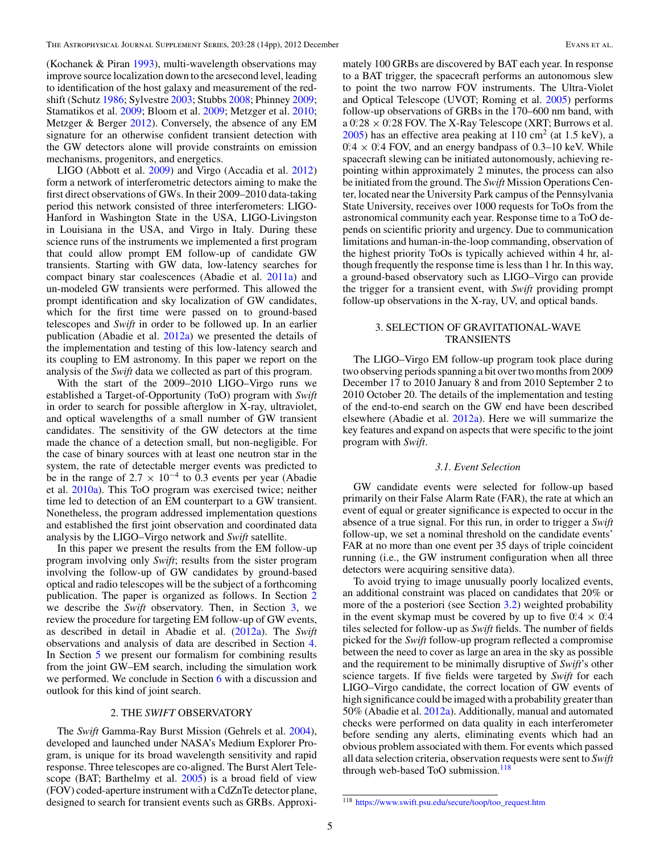(Kochanek & Piran [1993\)](#page-14-0), multi-wavelength observations may improve source localization down to the arcsecond level, leading to identification of the host galaxy and measurement of the redshift (Schutz [1986;](#page-15-0) Sylvestre [2003;](#page-15-0) Stubbs [2008;](#page-15-0) Phinney [2009;](#page-14-0) Stamatikos et al. [2009;](#page-15-0) Bloom et al. [2009;](#page-14-0) Metzger et al. [2010;](#page-14-0) Metzger & Berger [2012\)](#page-14-0). Conversely, the absence of any EM signature for an otherwise confident transient detection with the GW detectors alone will provide constraints on emission mechanisms, progenitors, and energetics.

LIGO (Abbott et al. [2009\)](#page-14-0) and Virgo (Accadia et al. [2012\)](#page-14-0) form a network of interferometric detectors aiming to make the first direct observations of GWs. In their 2009–2010 data-taking period this network consisted of three interferometers: LIGO-Hanford in Washington State in the USA, LIGO-Livingston in Louisiana in the USA, and Virgo in Italy. During these science runs of the instruments we implemented a first program that could allow prompt EM follow-up of candidate GW transients. Starting with GW data, low-latency searches for compact binary star coalescences (Abadie et al. [2011a\)](#page-14-0) and un-modeled GW transients were performed. This allowed the prompt identification and sky localization of GW candidates, which for the first time were passed on to ground-based telescopes and *Swift* in order to be followed up. In an earlier publication (Abadie et al. [2012a\)](#page-14-0) we presented the details of the implementation and testing of this low-latency search and its coupling to EM astronomy. In this paper we report on the analysis of the *Swift* data we collected as part of this program.

With the start of the 2009–2010 LIGO–Virgo runs we established a Target-of-Opportunity (ToO) program with *Swift* in order to search for possible afterglow in X-ray, ultraviolet, and optical wavelengths of a small number of GW transient candidates. The sensitivity of the GW detectors at the time made the chance of a detection small, but non-negligible. For the case of binary sources with at least one neutron star in the system, the rate of detectable merger events was predicted to be in the range of 2.7  $\times$  10<sup>-4</sup> to 0.3 events per year (Abadie et al. [2010a\)](#page-14-0). This ToO program was exercised twice; neither time led to detection of an EM counterpart to a GW transient. Nonetheless, the program addressed implementation questions and established the first joint observation and coordinated data analysis by the LIGO–Virgo network and *Swift* satellite.

In this paper we present the results from the EM follow-up program involving only *Swift*; results from the sister program involving the follow-up of GW candidates by ground-based optical and radio telescopes will be the subject of a forthcoming publication. The paper is organized as follows. In Section 2 we describe the *Swift* observatory. Then, in Section 3, we review the procedure for targeting EM follow-up of GW events, as described in detail in Abadie et al. [\(2012a\)](#page-14-0). The *Swift* observations and analysis of data are described in Section [4.](#page-7-0) In Section [5](#page-11-0) we present our formalism for combining results from the joint GW–EM search, including the simulation work we performed. We conclude in Section [6](#page-13-0) with a discussion and outlook for this kind of joint search.

#### 2. THE *SWIFT* OBSERVATORY

The *Swift* Gamma-Ray Burst Mission (Gehrels et al. [2004\)](#page-14-0), developed and launched under NASA's Medium Explorer Program, is unique for its broad wavelength sensitivity and rapid response. Three telescopes are co-aligned. The Burst Alert Telescope (BAT; Barthelmy et al. [2005\)](#page-14-0) is a broad field of view (FOV) coded-aperture instrument with a CdZnTe detector plane, designed to search for transient events such as GRBs. Approximately 100 GRBs are discovered by BAT each year. In response to a BAT trigger, the spacecraft performs an autonomous slew to point the two narrow FOV instruments. The Ultra-Violet and Optical Telescope (UVOT; Roming et al. [2005\)](#page-15-0) performs follow-up observations of GRBs in the 170–600 nm band, with  $a 0.28 \times 0.28$  FOV. The X-Ray Telescope (XRT; Burrows et al.  $2005$ ) has an effective area peaking at 110 cm<sup>2</sup> (at 1.5 keV), a  $0.4 \times 0.4$  FOV, and an energy bandpass of 0.3–10 keV. While spacecraft slewing can be initiated autonomously, achieving repointing within approximately 2 minutes, the process can also be initiated from the ground. The *Swift* Mission Operations Center, located near the University Park campus of the Pennsylvania State University, receives over 1000 requests for ToOs from the astronomical community each year. Response time to a ToO depends on scientific priority and urgency. Due to communication limitations and human-in-the-loop commanding, observation of the highest priority ToOs is typically achieved within 4 hr, although frequently the response time is less than 1 hr. In this way, a ground-based observatory such as LIGO–Virgo can provide the trigger for a transient event, with *Swift* providing prompt follow-up observations in the X-ray, UV, and optical bands.

#### 3. SELECTION OF GRAVITATIONAL-WAVE TRANSIENTS

The LIGO–Virgo EM follow-up program took place during two observing periods spanning a bit over two months from 2009 December 17 to 2010 January 8 and from 2010 September 2 to 2010 October 20. The details of the implementation and testing of the end-to-end search on the GW end have been described elsewhere (Abadie et al. [2012a\)](#page-14-0). Here we will summarize the key features and expand on aspects that were specific to the joint program with *Swift*.

#### *3.1. Event Selection*

GW candidate events were selected for follow-up based primarily on their False Alarm Rate (FAR), the rate at which an event of equal or greater significance is expected to occur in the absence of a true signal. For this run, in order to trigger a *Swift* follow-up, we set a nominal threshold on the candidate events' FAR at no more than one event per 35 days of triple coincident running (i.e., the GW instrument configuration when all three detectors were acquiring sensitive data).

To avoid trying to image unusually poorly localized events, an additional constraint was placed on candidates that 20% or more of the a posteriori (see Section [3.2\)](#page-7-0) weighted probability in the event skymap must be covered by up to five  $0.4 \times 0.4$ tiles selected for follow-up as *Swift* fields. The number of fields picked for the *Swift* follow-up program reflected a compromise between the need to cover as large an area in the sky as possible and the requirement to be minimally disruptive of *Swift*'s other science targets. If five fields were targeted by *Swift* for each LIGO–Virgo candidate, the correct location of GW events of high significance could be imaged with a probability greater than 50% (Abadie et al. [2012a\)](#page-14-0). Additionally, manual and automated checks were performed on data quality in each interferometer before sending any alerts, eliminating events which had an obvious problem associated with them. For events which passed all data selection criteria, observation requests were sent to *Swift* through web-based ToO submission.<sup>118</sup>

<sup>118</sup> [https://www.swift.psu.edu/secure/toop/too\\_request.htm](https://www.swift.psu.edu/secure/toop/too_request.htm)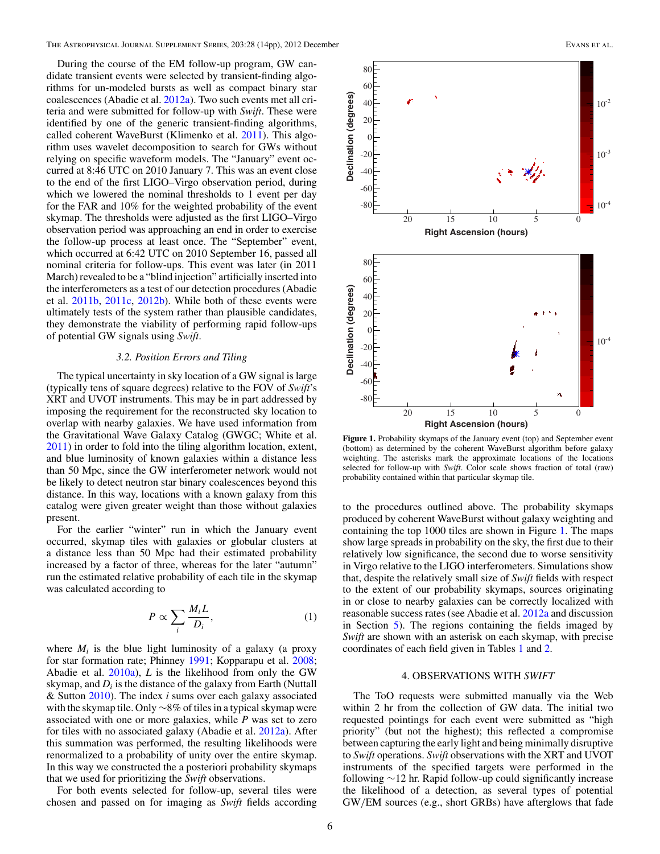<span id="page-7-0"></span>During the course of the EM follow-up program, GW candidate transient events were selected by transient-finding algorithms for un-modeled bursts as well as compact binary star coalescences (Abadie et al. [2012a\)](#page-14-0). Two such events met all criteria and were submitted for follow-up with *Swift*. These were identified by one of the generic transient-finding algorithms, called coherent WaveBurst (Klimenko et al. [2011\)](#page-14-0). This algorithm uses wavelet decomposition to search for GWs without relying on specific waveform models. The "January" event occurred at 8:46 UTC on 2010 January 7. This was an event close to the end of the first LIGO–Virgo observation period, during which we lowered the nominal thresholds to 1 event per day for the FAR and 10% for the weighted probability of the event skymap. The thresholds were adjusted as the first LIGO–Virgo observation period was approaching an end in order to exercise the follow-up process at least once. The "September" event, which occurred at 6:42 UTC on 2010 September 16, passed all nominal criteria for follow-ups. This event was later (in 2011 March) revealed to be a "blind injection" artificially inserted into the interferometers as a test of our detection procedures (Abadie et al. [2011b,](#page-14-0) [2011c,](#page-14-0) [2012b\)](#page-14-0). While both of these events were ultimately tests of the system rather than plausible candidates, they demonstrate the viability of performing rapid follow-ups of potential GW signals using *Swift*.

#### *3.2. Position Errors and Tiling*

The typical uncertainty in sky location of a GW signal is large (typically tens of square degrees) relative to the FOV of *Swift*'s XRT and UVOT instruments. This may be in part addressed by imposing the requirement for the reconstructed sky location to overlap with nearby galaxies. We have used information from the Gravitational Wave Galaxy Catalog (GWGC; White et al. [2011\)](#page-15-0) in order to fold into the tiling algorithm location, extent, and blue luminosity of known galaxies within a distance less than 50 Mpc, since the GW interferometer network would not be likely to detect neutron star binary coalescences beyond this distance. In this way, locations with a known galaxy from this catalog were given greater weight than those without galaxies present.

For the earlier "winter" run in which the January event occurred, skymap tiles with galaxies or globular clusters at a distance less than 50 Mpc had their estimated probability increased by a factor of three, whereas for the later "autumn" run the estimated relative probability of each tile in the skymap was calculated according to

$$
P \propto \sum_{i} \frac{M_i L}{D_i},\tag{1}
$$

where  $M_i$  is the blue light luminosity of a galaxy (a proxy for star formation rate; Phinney [1991;](#page-14-0) Kopparapu et al. [2008;](#page-14-0) Abadie et al. [2010a\)](#page-14-0), *L* is the likelihood from only the GW skymap, and *Di* is the distance of the galaxy from Earth (Nuttall & Sutton [2010\)](#page-14-0). The index *i* sums over each galaxy associated with the skymap tile. Only ∼8% of tiles in a typical skymap were associated with one or more galaxies, while *P* was set to zero for tiles with no associated galaxy (Abadie et al. [2012a\)](#page-14-0). After this summation was performed, the resulting likelihoods were renormalized to a probability of unity over the entire skymap. In this way we constructed the a posteriori probability skymaps that we used for prioritizing the *Swift* observations.

For both events selected for follow-up, several tiles were chosen and passed on for imaging as *Swift* fields according



**Figure 1.** Probability skymaps of the January event (top) and September event (bottom) as determined by the coherent WaveBurst algorithm before galaxy weighting. The asterisks mark the approximate locations of the locations selected for follow-up with *Swift*. Color scale shows fraction of total (raw) probability contained within that particular skymap tile.

to the procedures outlined above. The probability skymaps produced by coherent WaveBurst without galaxy weighting and containing the top 1000 tiles are shown in Figure 1. The maps show large spreads in probability on the sky, the first due to their relatively low significance, the second due to worse sensitivity in Virgo relative to the LIGO interferometers. Simulations show that, despite the relatively small size of *Swift* fields with respect to the extent of our probability skymaps, sources originating in or close to nearby galaxies can be correctly localized with reasonable success rates (see Abadie et al. [2012a](#page-14-0) and discussion in Section [5\)](#page-11-0). The regions containing the fields imaged by *Swift* are shown with an asterisk on each skymap, with precise coordinates of each field given in Tables [1](#page-8-0) and [2.](#page-8-0)

### 4. OBSERVATIONS WITH *SWIFT*

The ToO requests were submitted manually via the Web within 2 hr from the collection of GW data. The initial two requested pointings for each event were submitted as "high priority" (but not the highest); this reflected a compromise between capturing the early light and being minimally disruptive to *Swift* operations. *Swift* observations with the XRT and UVOT instruments of the specified targets were performed in the following ∼12 hr. Rapid follow-up could significantly increase the likelihood of a detection, as several types of potential GW*/*EM sources (e.g., short GRBs) have afterglows that fade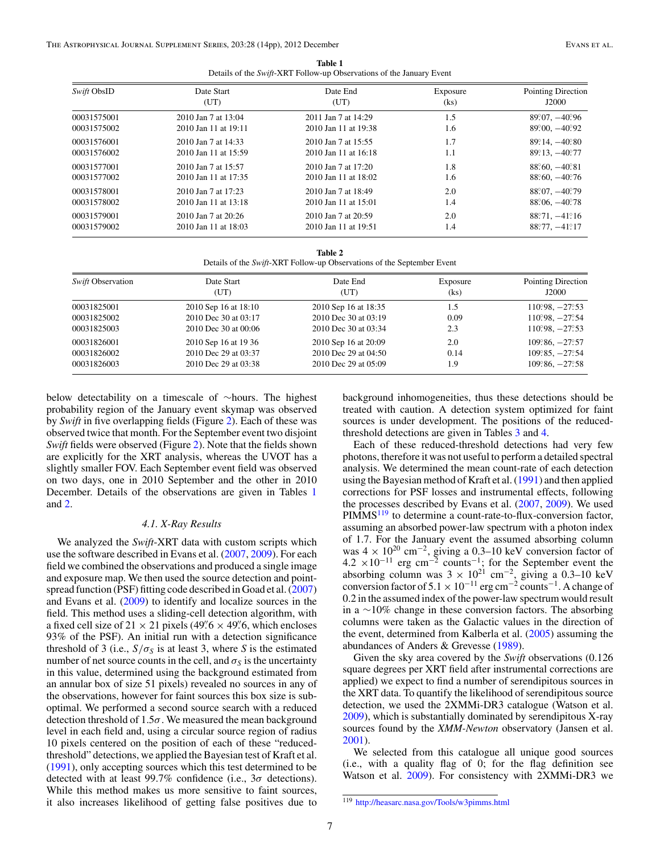|                                                                      | Table 1 |  |
|----------------------------------------------------------------------|---------|--|
| Details of the Swift-XRT Follow-up Observations of the January Event |         |  |

<span id="page-8-0"></span>

| Swift ObsID | Date Start           | Date End             | Exposure | Pointing Direction            |
|-------------|----------------------|----------------------|----------|-------------------------------|
|             | (UT)                 | (UT)                 | (ks)     | J2000                         |
| 00031575001 | 2010 Jan 7 at 13:04  | 2011 Jan 7 at 14:29  | 1.5      | $89.07, -40.96$               |
| 00031575002 | 2010 Jan 11 at 19:11 | 2010 Jan 11 at 19:38 | 1.6      | $89\degree 00, -40\degree 92$ |
| 00031576001 | 2010 Jan 7 at 14:33  | 2010 Jan 7 at 15:55  | 1.7      | $89^{\circ}14, -40^{\circ}80$ |
| 00031576002 | 2010 Jan 11 at 15:59 | 2010 Jan 11 at 16:18 | 1.1      | $89^{\circ}13, -40^{\circ}77$ |
| 00031577001 | 2010 Jan 7 at 15:57  | 2010 Jan 7 at 17:20  | 1.8      | $88^{\circ}60, -40^{\circ}81$ |
| 00031577002 | 2010 Jan 11 at 17:35 | 2010 Jan 11 at 18:02 | 1.6      | $88^{\circ}60, -40^{\circ}76$ |
| 00031578001 | 2010 Jan 7 at 17:23  | 2010 Jan 7 at 18:49  | 2.0      | $88^{\circ}07, -40^{\circ}79$ |
| 00031578002 | 2010 Jan 11 at 13:18 | 2010 Jan 11 at 15:01 | 1.4      | $88^\circ 06, -40^\circ 78$   |
| 00031579001 | 2010 Jan 7 at 20:26  | 2010 Jan 7 at 20:59  | 2.0      | $88°.71, -41°.16$             |
| 00031579002 | 2010 Jan 11 at 18:03 | 2010 Jan 11 at 19:51 | 1.4      | $88°77, -41°17$               |
|             |                      |                      |          |                               |

| Table 2                                                                |
|------------------------------------------------------------------------|
| Details of the Swift-XRT Follow-up Observations of the September Event |

| <i>Swift</i> Observation | Date Start<br>(UT)   | Date End<br>(UT)     | Exposure<br>(ks) | Pointing Direction<br>J2000             |
|--------------------------|----------------------|----------------------|------------------|-----------------------------------------|
| 00031825001              | 2010 Sep 16 at 18:10 | 2010 Sep 16 at 18:35 | 1.5              | $110\degree 98, -27\degree 53$          |
| 00031825002              | 2010 Dec 30 at 03:17 | 2010 Dec 30 at 03:19 | 0.09             | $110^\circ.98$ , $-27^\circ.54$         |
| 00031825003              | 2010 Dec 30 at 00:06 | 2010 Dec 30 at 03:34 | 2.3              | $110^\circ\!\!.98$ , $-27^\circ\!\!.53$ |
| 00031826001              | 2010 Sep 16 at 19 36 | 2010 Sep 16 at 20:09 | 2.0              | $109.86, -27.57$                        |
| 00031826002              | 2010 Dec 29 at 03:37 | 2010 Dec 29 at 04:50 | 0.14             | $109^\circ\!\!.85, -27^\circ\!\!.54$    |
| 00031826003              | 2010 Dec 29 at 03:38 | 2010 Dec 29 at 05:09 | 9. ا             | $109^\circ\,86, -27^\circ\,58$          |

below detectability on a timescale of ∼hours. The highest probability region of the January event skymap was observed by *Swift* in five overlapping fields (Figure [2\)](#page-10-0). Each of these was observed twice that month. For the September event two disjoint *Swift* fields were observed (Figure [2\)](#page-10-0). Note that the fields shown are explicitly for the XRT analysis, whereas the UVOT has a slightly smaller FOV. Each September event field was observed on two days, one in 2010 September and the other in 2010 December. Details of the observations are given in Tables 1 and 2.

#### *4.1. X-Ray Results*

We analyzed the *Swift*-XRT data with custom scripts which use the software described in Evans et al. [\(2007,](#page-14-0) [2009\)](#page-14-0). For each field we combined the observations and produced a single image and exposure map. We then used the source detection and pointspread function (PSF) fitting code described in Goad et al. [\(2007\)](#page-14-0) and Evans et al. [\(2009\)](#page-14-0) to identify and localize sources in the field. This method uses a sliding-cell detection algorithm, with a fixed cell size of  $21 \times 21$  pixels ( $49\% \times 49\%$ , which encloses 93% of the PSF). An initial run with a detection significance threshold of 3 (i.e.,  $S/\sigma_S$  is at least 3, where *S* is the estimated number of net source counts in the cell, and  $\sigma_s$  is the uncertainty in this value, determined using the background estimated from an annular box of size 51 pixels) revealed no sources in any of the observations, however for faint sources this box size is suboptimal. We performed a second source search with a reduced detection threshold of 1.5*σ*. We measured the mean background level in each field and, using a circular source region of radius 10 pixels centered on the position of each of these "reducedthreshold" detections, we applied the Bayesian test of Kraft et al. [\(1991\)](#page-14-0), only accepting sources which this test determined to be detected with at least 99.7% confidence (i.e., 3*σ* detections). While this method makes us more sensitive to faint sources, it also increases likelihood of getting false positives due to

background inhomogeneities, thus these detections should be treated with caution. A detection system optimized for faint sources is under development. The positions of the reducedthreshold detections are given in Tables [3](#page-9-0) and [4.](#page-9-0)

Each of these reduced-threshold detections had very few photons, therefore it was not useful to perform a detailed spectral analysis. We determined the mean count-rate of each detection using the Bayesian method of Kraft et al. [\(1991\)](#page-14-0) and then applied corrections for PSF losses and instrumental effects, following the processes described by Evans et al. [\(2007,](#page-14-0) [2009\)](#page-14-0). We used  $PIMMS<sup>119</sup>$  to determine a count-rate-to-flux-conversion factor, assuming an absorbed power-law spectrum with a photon index of 1.7. For the January event the assumed absorbing column was  $4 \times 10^{20}$  cm<sup>-2</sup>, giving a 0.3–10 keV conversion factor of  $4.2 \times 10^{-11}$  erg cm<sup>-2</sup> counts<sup>-1</sup>; for the September event the absorbing column was  $3 \times 10^{21}$  cm<sup>-2</sup>, giving a 0.3–10 keV conversion factor of  $5.1 \times 10^{-11}$  erg cm<sup>-2</sup> counts<sup>-1</sup>. A change of 0.2 in the assumed index of the power-law spectrum would result in a ∼10% change in these conversion factors. The absorbing columns were taken as the Galactic values in the direction of the event, determined from Kalberla et al. [\(2005\)](#page-14-0) assuming the abundances of Anders & Grevesse [\(1989\)](#page-14-0).

Given the sky area covered by the *Swift* observations (0.126 square degrees per XRT field after instrumental corrections are applied) we expect to find a number of serendipitous sources in the XRT data. To quantify the likelihood of serendipitous source detection, we used the 2XMMi-DR3 catalogue (Watson et al. [2009\)](#page-15-0), which is substantially dominated by serendipitous X-ray sources found by the *XMM-Newton* observatory (Jansen et al. [2001\)](#page-14-0).

We selected from this catalogue all unique good sources (i.e., with a quality flag of 0; for the flag definition see Watson et al. [2009\)](#page-15-0). For consistency with 2XMMi-DR3 we

<sup>119</sup> <http://heasarc.nasa.gov/Tools/w3pimms.html>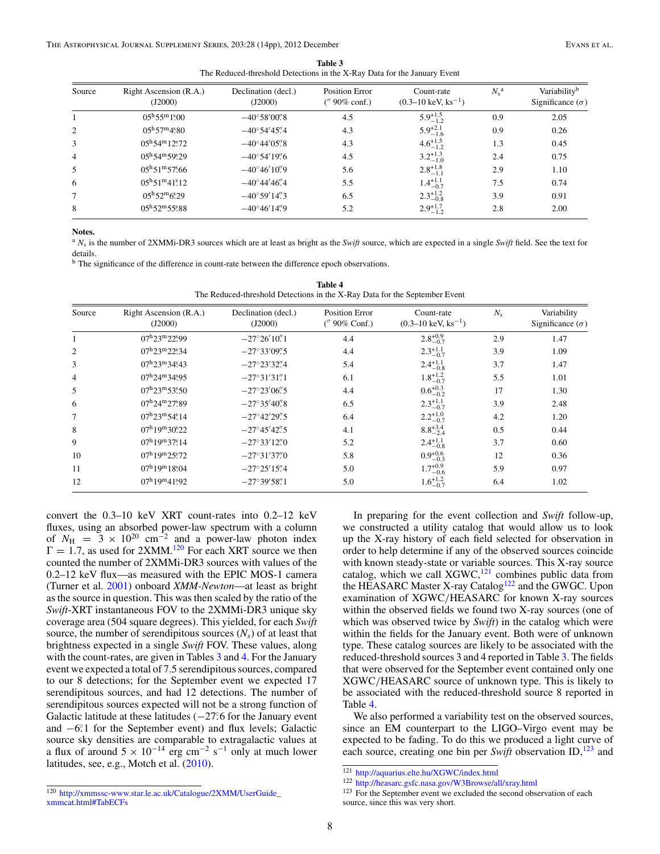| Table 3                                                                  |  |
|--------------------------------------------------------------------------|--|
| The Reduced-threshold Detections in the X-Ray Data for the January Event |  |

<span id="page-9-0"></span>

| Source | Right Ascension (R.A.)<br>(J2000)          | Declination (decl.)<br>(J2000)             | <b>Position Error</b><br>$($ $90\%$ conf.) | Count-rate<br>$(0.3-10 \text{ keV}, \text{ks}^{-1})$ | $N_{\rm s}^{\rm a}$ | Variability <sup>b</sup><br>Significance $(\sigma)$ |
|--------|--------------------------------------------|--------------------------------------------|--------------------------------------------|------------------------------------------------------|---------------------|-----------------------------------------------------|
|        | $0.5^{\rm h}55^{\rm m}1^{\rm s}_{\rm s}00$ | $-40^{\circ}58'00''8$                      | 4.5                                        | $5.9^{+1.5}_{-1.2}$                                  | 0.9                 | 2.05                                                |
| 2      | $05^{\rm h}57^{\rm m}4\rlap{.}^{\rm s}80$  | $-40^{\circ}54'45''4$                      | 4.3                                        | $5.9^{+2.1}_{-1.6}$                                  | 0.9                 | 0.26                                                |
|        | $05^{\rm h}54^{\rm m}12^{\rm s}72$         | $-40^{\circ}44'05\rlap{.}^{\prime\prime}8$ | 4.3                                        | $4.6^{+1.5}_{-1.2}$                                  | 1.3                 | 0.45                                                |
| 4      | $05^{\rm h}54^{\rm m}59^{\rm s}.29$        | $-40^{\circ}54'19''$                       | 4.5                                        | $3.2^{+1.3}_{-1.0}$                                  | 2.4                 | 0.75                                                |
| 5      | $05^{\rm h}51^{\rm m}57^{\rm s}66$         | $-40^{\circ}46'10''9$                      | 5.6                                        | $2.8^{+1.8}_{-1.1}$                                  | 2.9                 | 1.10                                                |
| 6      | $05^{\rm h}51^{\rm m}41^{\rm s}12$         | $-40^{\circ}44'46''$                       | 5.5                                        | $1.4^{+1.1}_{-0.7}$                                  | 7.5                 | 0.74                                                |
|        | $0.5^{\rm h}52^{\rm m}6.29$                | $-40^{\circ}59'14''3$                      | 6.5                                        | $2.3^{+1.2}_{-0.8}$                                  | 3.9                 | 0.91                                                |
| 8      | $05^{\rm h}52^{\rm m}55^{\rm s}88$         | $-40^{\circ}46'14''\,9$                    | 5.2                                        | $2.9^{+1.7}_{-1.2}$                                  | 2.8                 | 2.00                                                |

**Notes.**

<sup>a</sup> *N*<sup>s</sup> is the number of 2XMMi-DR3 sources which are at least as bright as the *Swift* source, which are expected in a single *Swift* field. See the text for details.

<sup>b</sup> The significance of the difference in count-rate between the difference epoch observations.

**Table 4** The Reduced-threshold Detections in the X-Ray Data for the September Event

| Source         | Right Ascension (R.A.)<br>(J2000)          | Declination (decl.)<br>(J2000) | <b>Position Error</b><br>(" 90% Conf.) | Count-rate<br>$(0.3-10 \text{ keV}, \text{ks}^{-1})$ | $N_{\rm s}$ | Variability<br>Significance $(\sigma)$ |
|----------------|--------------------------------------------|--------------------------------|----------------------------------------|------------------------------------------------------|-------------|----------------------------------------|
|                | $07^{\rm h}23^{\rm m}22^{\rm s}99$         | $-27^{\circ}26'10''1$          | 4.4                                    | $2.8_{-0.7}^{+0.9}$                                  | 2.9         | 1.47                                   |
| $\mathfrak{2}$ | $07^{\rm h}23^{\rm m}22^{\rm s}34$         | $-27^{\circ}33'09''.5$         | 4.4                                    | $2.3^{+1.1}_{-0.7}$                                  | 3.9         | 1.09                                   |
| 3              | $07^{\rm h}23^{\rm m}34^{\rm s}43$         | $-27^{\circ}23'32''$ 4         | 5.4                                    | $2.4^{+1.1}_{-0.8}$                                  | 3.7         | 1.47                                   |
| $\overline{4}$ | $07^{\rm h}24^{\rm m}34\rlap{.}^{\rm s}95$ | $-27^{\circ}31'31''1$          | 6.1                                    | $1.8^{+1.2}_{-0.7}$                                  | 5.5         | 1.01                                   |
| 5              | $07^{\rm h}23^{\rm m}53^{\rm s}.50$        | $-27^{\circ}23'06''5$          | 4.4                                    | $0.6^{+0.3}_{-0.2}$                                  | 17          | 1.30                                   |
| 6              | $07^{\rm h}24^{\rm m}27\rlap{.}^{\rm s}89$ | $-27^{\circ}35'40''8$          | 6.5                                    | $2.3^{+1.1}_{-0.7}$                                  | 3.9         | 2.48                                   |
| 7              | $07^{\rm h}23^{\rm m}54^{\rm s}14$         | $-27^{\circ}42'29''.5$         | 6.4                                    | $2.2^{+1.0}_{-0.7}$                                  | 4.2         | 1.20                                   |
| 8              | $07^{\rm h}19^{\rm m}30\rlap{.}^{\rm s}22$ | $-27^{\circ}45'42''5$          | 4.1                                    | $8.8^{+3.4}_{-2.4}$                                  | 0.5         | 0.44                                   |
| 9              | $07^{\rm h}19^{\rm m}37^{\rm s}14$         | $-27^{\circ}33'12''0$          | 5.2                                    | $2.4^{+1.1}_{-0.8}$                                  | 3.7         | 0.60                                   |
| 10             | $07^{\rm h}19^{\rm m}25\rlap{.}^{\rm s}72$ | $-27^{\circ}31'37''.0$         | 5.8                                    | $0.9_{-0.3}^{+0.6}$                                  | 12          | 0.36                                   |
| 11             | $07^{\rm h}19^{\rm m}18^{\rm s}.04$        | $-27^{\circ}25'15''$ 4         | 5.0                                    | $1.7^{+0.9}_{-0.6}$                                  | 5.9         | 0.97                                   |
| 12             | $07^{\rm h}19^{\rm m}41^{\rm s}92$         | $-27^{\circ}39'58''1$          | 5.0                                    | $1.6^{+1.2}_{-0.7}$                                  | 6.4         | 1.02                                   |

convert the 0.3–10 keV XRT count-rates into 0.2–12 keV fluxes, using an absorbed power-law spectrum with a column of  $N_{\text{H}} = 3 \times 10^{20} \text{ cm}^{-2}$  and a power-law photon index  $\Gamma = 1.7$ , as used for 2XMM.<sup>120</sup> For each XRT source we then counted the number of 2XMMi-DR3 sources with values of the 0.2–12 keV flux—as measured with the EPIC MOS-1 camera (Turner et al. [2001\)](#page-15-0) onboard *XMM-Newton*—at least as bright as the source in question. This was then scaled by the ratio of the *Swift*-XRT instantaneous FOV to the 2XMMi-DR3 unique sky coverage area (504 square degrees). This yielded, for each *Swift* source, the number of serendipitous sources  $(N<sub>s</sub>)$  of at least that brightness expected in a single *Swift* FOV. These values, along with the count-rates, are given in Tables 3 and 4. For the January event we expected a total of 7.5 serendipitous sources, compared to our 8 detections; for the September event we expected 17 serendipitous sources, and had 12 detections. The number of serendipitous sources expected will not be a strong function of Galactic latitude at these latitudes (−27<sup>°</sup>.6 for the January event and −6*.* ◦1 for the September event) and flux levels; Galactic source sky densities are comparable to extragalactic values at a flux of around  $5 \times 10^{-14}$  erg cm<sup>-2</sup> s<sup>-1</sup> only at much lower latitudes, see, e.g., Motch et al. [\(2010\)](#page-14-0).

We also performed a variability test on the observed sources, since an EM counterpart to the LIGO–Virgo event may be expected to be fading. To do this we produced a light curve of each source, creating one bin per *Swift* observation ID,<sup>123</sup> and

In preparing for the event collection and *Swift* follow-up, we constructed a utility catalog that would allow us to look up the X-ray history of each field selected for observation in order to help determine if any of the observed sources coincide with known steady-state or variable sources. This X-ray source catalog, which we call  $XGWC$ ,<sup>121</sup> combines public data from the HEASARC Master X-ray Catalog<sup>122</sup> and the GWGC. Upon examination of XGWC*/*HEASARC for known X-ray sources within the observed fields we found two X-ray sources (one of which was observed twice by *Swift*) in the catalog which were within the fields for the January event. Both were of unknown type. These catalog sources are likely to be associated with the reduced-threshold sources 3 and 4 reported in Table 3. The fields that were observed for the September event contained only one XGWC*/*HEASARC source of unknown type. This is likely to be associated with the reduced-threshold source 8 reported in Table 4.

<sup>121</sup> <http://aquarius.elte.hu/XGWC/index.html>

<sup>122</sup> <http://heasarc.gsfc.nasa.gov/W3Browse/all/xray.html>

<sup>120</sup> [http://xmmssc-www.star.le.ac.uk/Catalogue/2XMM/UserGuide\\_](http://xmmssc-www.star.le.ac.uk/Catalogue/2XMM/UserGuide_xmmcat.html#TabECFs) [xmmcat.html#TabECFs](http://xmmssc-www.star.le.ac.uk/Catalogue/2XMM/UserGuide_xmmcat.html#TabECFs)

<sup>123</sup> For the September event we excluded the second observation of each source, since this was very short.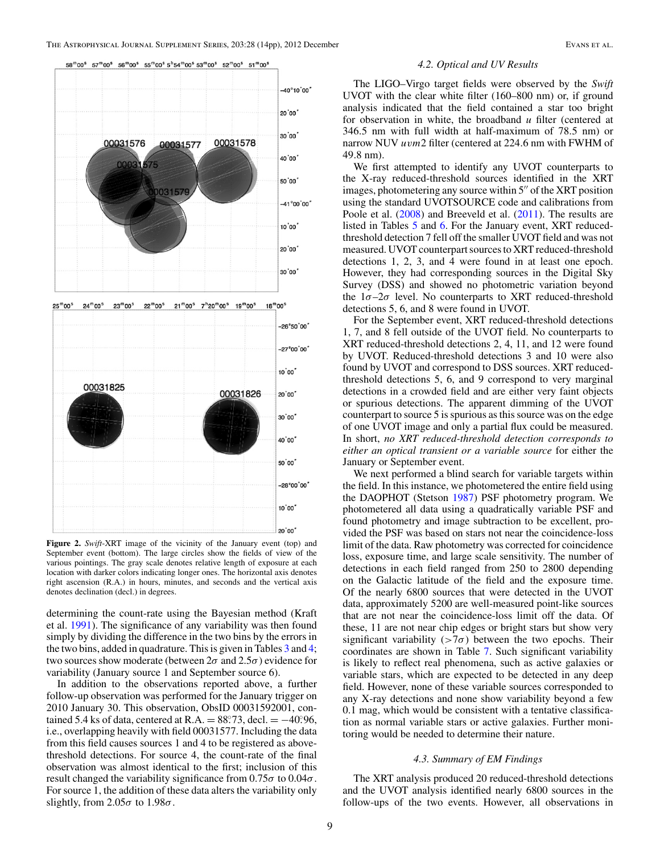<span id="page-10-0"></span>

**Figure 2.** *Swift*-XRT image of the vicinity of the January event (top) and September event (bottom). The large circles show the fields of view of the various pointings. The gray scale denotes relative length of exposure at each location with darker colors indicating longer ones. The horizontal axis denotes right ascension (R.A.) in hours, minutes, and seconds and the vertical axis denotes declination (decl.) in degrees.

determining the count-rate using the Bayesian method (Kraft et al. [1991\)](#page-14-0). The significance of any variability was then found simply by dividing the difference in the two bins by the errors in the two bins, added in quadrature. This is given in Tables [3](#page-9-0) and [4;](#page-9-0) two sources show moderate (between  $2\sigma$  and  $2.5\sigma$ ) evidence for variability (January source 1 and September source 6).

In addition to the observations reported above, a further follow-up observation was performed for the January trigger on 2010 January 30. This observation, ObsID 00031592001, contained 5.4 ks of data, centered at R.A. =  $88^\circ$ . 73, decl. =  $-40^\circ$ . 96, i.e., overlapping heavily with field 00031577. Including the data from this field causes sources 1 and 4 to be registered as abovethreshold detections. For source 4, the count-rate of the final observation was almost identical to the first; inclusion of this result changed the variability significance from 0.75*σ* to 0.04*σ*. For source 1, the addition of these data alters the variability only slightly, from 2.05*σ* to 1.98*σ*.

#### *4.2. Optical and UV Results*

The LIGO–Virgo target fields were observed by the *Swift* UVOT with the clear white filter (160–800 nm) or, if ground analysis indicated that the field contained a star too bright for observation in white, the broadband *u* filter (centered at 346*.*5 nm with full width at half-maximum of 78*.*5 nm) or narrow NUV *uvm*2 filter (centered at 224*.*6 nm with FWHM of 49*.*8 nm).

We first attempted to identify any UVOT counterparts to the X-ray reduced-threshold sources identified in the XRT images, photometering any source within  $5''$  of the XRT position using the standard UVOTSOURCE code and calibrations from Poole et al. [\(2008\)](#page-15-0) and Breeveld et al. [\(2011\)](#page-14-0). The results are listed in Tables [5](#page-11-0) and [6.](#page-11-0) For the January event, XRT reducedthreshold detection 7 fell off the smaller UVOT field and was not measured. UVOT counterpart sources to XRT reduced-threshold detections 1, 2, 3, and 4 were found in at least one epoch. However, they had corresponding sources in the Digital Sky Survey (DSS) and showed no photometric variation beyond the 1*σ*–2*σ* level. No counterparts to XRT reduced-threshold detections 5, 6, and 8 were found in UVOT.

For the September event, XRT reduced-threshold detections 1, 7, and 8 fell outside of the UVOT field. No counterparts to XRT reduced-threshold detections 2, 4, 11, and 12 were found by UVOT. Reduced-threshold detections 3 and 10 were also found by UVOT and correspond to DSS sources. XRT reducedthreshold detections 5, 6, and 9 correspond to very marginal detections in a crowded field and are either very faint objects or spurious detections. The apparent dimming of the UVOT counterpart to source 5 is spurious as this source was on the edge of one UVOT image and only a partial flux could be measured. In short, *no XRT reduced-threshold detection corresponds to either an optical transient or a variable source* for either the January or September event.

We next performed a blind search for variable targets within the field. In this instance, we photometered the entire field using the DAOPHOT (Stetson [1987\)](#page-15-0) PSF photometry program. We photometered all data using a quadratically variable PSF and found photometry and image subtraction to be excellent, provided the PSF was based on stars not near the coincidence-loss limit of the data. Raw photometry was corrected for coincidence loss, exposure time, and large scale sensitivity. The number of detections in each field ranged from 250 to 2800 depending on the Galactic latitude of the field and the exposure time. Of the nearly 6800 sources that were detected in the UVOT data, approximately 5200 are well-measured point-like sources that are not near the coincidence-loss limit off the data. Of these, 11 are not near chip edges or bright stars but show very significant variability  $($ >7 $\sigma$  $)$  between the two epochs. Their coordinates are shown in Table [7.](#page-11-0) Such significant variability is likely to reflect real phenomena, such as active galaxies or variable stars, which are expected to be detected in any deep field. However, none of these variable sources corresponded to any X-ray detections and none show variability beyond a few 0.1 mag, which would be consistent with a tentative classification as normal variable stars or active galaxies. Further monitoring would be needed to determine their nature.

#### *4.3. Summary of EM Findings*

The XRT analysis produced 20 reduced-threshold detections and the UVOT analysis identified nearly 6800 sources in the follow-ups of the two events. However, all observations in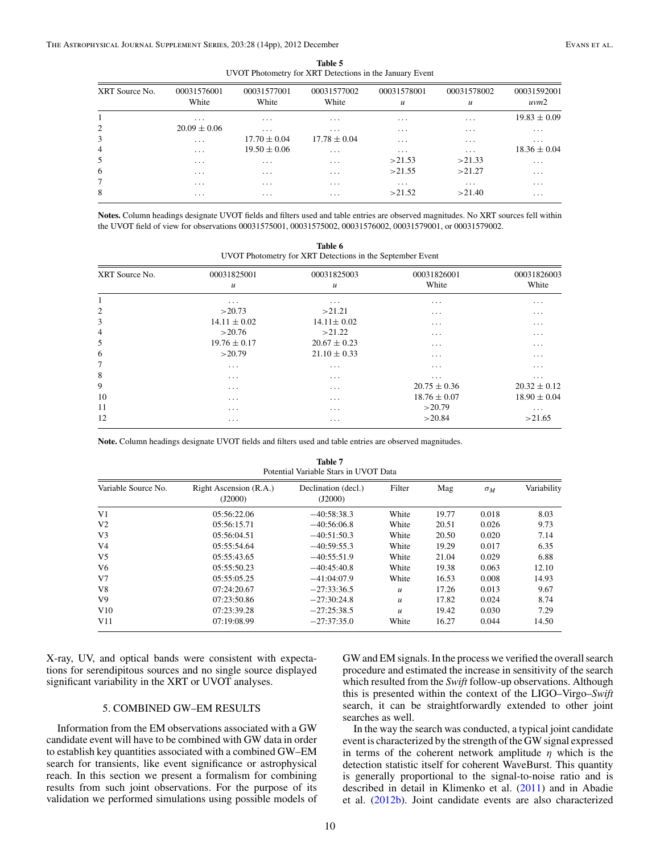<span id="page-11-0"></span>

| UVOT Photometry for XRT Detections in the January Event |                         |                         |                         |                                 |                                 |                         |
|---------------------------------------------------------|-------------------------|-------------------------|-------------------------|---------------------------------|---------------------------------|-------------------------|
| XRT Source No.                                          | 00031576001<br>White    | 00031577001<br>White    | 00031577002<br>White    | 00031578001<br>$\boldsymbol{u}$ | 00031578002<br>$\boldsymbol{u}$ | 00031592001<br>uvw2     |
| 1                                                       | $\cdots$                | $\cdots$                | $\cdots$                | $\cdots$                        | .                               | $19.83 \pm 0.09$        |
| $\overline{c}$                                          | $20.09 \pm 0.06$        | $\cdots$                | $\cdot$ $\cdot$ $\cdot$ | $\cdots$                        | $\cdots$                        | $\cdot$ $\cdot$ $\cdot$ |
| 3                                                       | $\cdots$                | $17.70 \pm 0.04$        | $17.78 \pm 0.04$        | $\cdots$                        | $\cdots$                        | $\cdots$                |
| $\overline{4}$                                          | $\cdots$                | $19.50 \pm 0.06$        | $\cdots$                | $\cdot$                         | $\cdots$                        | $18.36 \pm 0.04$        |
| 5                                                       | $\cdots$                | $\cdots$                | $\cdots$                | >21.53                          | >21.33                          | $\cdots$                |
| 6                                                       | $\cdots$                | $\cdots$                | $\cdots$                | >21.55                          | >21.27                          | $\cdots$                |
| 7                                                       | $\cdot$ $\cdot$ $\cdot$ | $\cdot$ $\cdot$ $\cdot$ | $\cdot$ $\cdot$ $\cdot$ | $\cdots$                        | $\cdots$                        | $\cdots$                |
| 8                                                       | $\cdots$                | $\cdots$                | $\cdots$                | >21.52                          | >21.40                          | $\cdots$                |

**Table 5**

**Notes.** Column headings designate UVOT fields and filters used and table entries are observed magnitudes. No XRT sources fell within the UVOT field of view for observations 00031575001, 00031575002, 00031576002, 00031579001, or 00031579002.

**Table 6**

| UVOT Photometry for XRT Detections in the September Event |                              |                                 |                      |                      |  |  |
|-----------------------------------------------------------|------------------------------|---------------------------------|----------------------|----------------------|--|--|
| XRT Source No.                                            | 00031825001<br>$\mathfrak u$ | 00031825003<br>$\boldsymbol{u}$ | 00031826001<br>White | 00031826003<br>White |  |  |
| 1                                                         | $\cdot$                      | $\cdots$                        | $\cdots$             | $\cdots$             |  |  |
| $\overline{c}$                                            | >20.73                       | >21.21                          | $\cdots$             | $\cdots$             |  |  |
| 3                                                         | $14.11 \pm 0.02$             | $14.11 \pm 0.02$                | $\cdots$             | $\cdots$             |  |  |
| $\overline{4}$                                            | >20.76                       | >21.22                          | $\cdots$             | $\cdots$             |  |  |
| 5                                                         | $19.76 \pm 0.17$             | $20.67 \pm 0.23$                | $\cdots$             | $\cdots$             |  |  |
| 6                                                         | >20.79                       | $21.10 \pm 0.33$                | $\cdots$             | .                    |  |  |
| 7                                                         | $\cdots$                     | .                               | $\cdots$             | .                    |  |  |
| 8                                                         | $\cdots$                     | $\cdots$                        | $\cdots$             | $\cdots$             |  |  |
| 9                                                         | $\cdots$                     | $\cdots$                        | $20.75 \pm 0.36$     | $20.32 \pm 0.12$     |  |  |
| 10                                                        | $\cdots$                     | $\cdots$                        | $18.76 \pm 0.07$     | $18.90 \pm 0.04$     |  |  |
| 11                                                        | $\cdots$                     | $\cdots$                        | >20.79               | $\cdots$             |  |  |
| 12                                                        | $\cdots$                     | $\cdots$                        | >20.84               | >21.65               |  |  |

**Note.** Column headings designate UVOT fields and filters used and table entries are observed magnitudes.

**Table 7** Potential Variable Stars in UVOT Data

| Variable Source No. | Right Ascension (R.A.)<br>(J2000) | Declination (decl.)<br>(J2000) | Filter           | Mag   | $\sigma_M$ | Variability |  |  |
|---------------------|-----------------------------------|--------------------------------|------------------|-------|------------|-------------|--|--|
| V1                  | 05:56:22.06                       | $-40:58:38.3$                  | White            | 19.77 | 0.018      | 8.03        |  |  |
| V <sub>2</sub>      | 05:56:15.71                       | $-40:56:06.8$                  | White            | 20.51 | 0.026      | 9.73        |  |  |
| V <sub>3</sub>      | 05:56:04.51                       | $-40:51:50.3$                  | White            | 20.50 | 0.020      | 7.14        |  |  |
| V4                  | 05:55:54.64                       | $-40:59:55.3$                  | White            | 19.29 | 0.017      | 6.35        |  |  |
| V <sub>5</sub>      | 05:55:43.65                       | $-40:55:51.9$                  | White            | 21.04 | 0.029      | 6.88        |  |  |
| V6                  | 05:55:50.23                       | $-40:45:40.8$                  | White            | 19.38 | 0.063      | 12.10       |  |  |
| V7                  | 05:55:05.25                       | $-41:04:07.9$                  | White            | 16.53 | 0.008      | 14.93       |  |  |
| V8                  | 07:24:20.67                       | $-27:33:36.5$                  | $\boldsymbol{u}$ | 17.26 | 0.013      | 9.67        |  |  |
| V9                  | 07:23:50.86                       | $-27:30:24.8$                  | $\mathfrak u$    | 17.82 | 0.024      | 8.74        |  |  |
| V10                 | 07:23:39.28                       | $-27:25:38.5$                  | $\mathfrak u$    | 19.42 | 0.030      | 7.29        |  |  |
| V11                 | 07:19:08.99                       | $-27:37:35.0$                  | White            | 16.27 | 0.044      | 14.50       |  |  |

X-ray, UV, and optical bands were consistent with expectations for serendipitous sources and no single source displayed significant variability in the XRT or UVOT analyses.

#### 5. COMBINED GW–EM RESULTS

Information from the EM observations associated with a GW candidate event will have to be combined with GW data in order to establish key quantities associated with a combined GW–EM search for transients, like event significance or astrophysical reach. In this section we present a formalism for combining results from such joint observations. For the purpose of its validation we performed simulations using possible models of

GW and EM signals. In the process we verified the overall search procedure and estimated the increase in sensitivity of the search which resulted from the *Swift* follow-up observations. Although this is presented within the context of the LIGO–Virgo–*Swift* search, it can be straightforwardly extended to other joint searches as well.

In the way the search was conducted, a typical joint candidate event is characterized by the strength of the GW signal expressed in terms of the coherent network amplitude *η* which is the detection statistic itself for coherent WaveBurst. This quantity is generally proportional to the signal-to-noise ratio and is described in detail in Klimenko et al. [\(2011\)](#page-14-0) and in Abadie et al. [\(2012b\)](#page-14-0). Joint candidate events are also characterized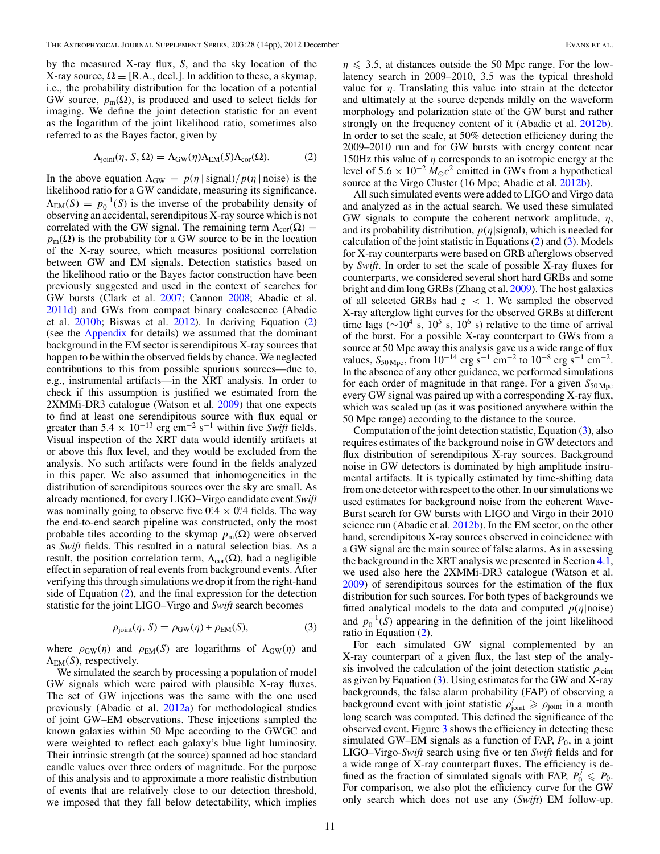<span id="page-12-0"></span>by the measured X-ray flux, *S*, and the sky location of the X-ray source,  $\Omega = [R.A., decl.]$  In addition to these, a skymap, i.e., the probability distribution for the location of a potential GW source,  $p_m(\Omega)$ , is produced and used to select fields for imaging. We define the joint detection statistic for an event as the logarithm of the joint likelihood ratio, sometimes also referred to as the Bayes factor, given by

$$
\Lambda_{\text{joint}}(\eta, S, \Omega) = \Lambda_{\text{GW}}(\eta) \Lambda_{\text{EM}}(S) \Lambda_{\text{cor}}(\Omega). \tag{2}
$$

In the above equation  $\Lambda_{\text{GW}} = p(\eta \mid \text{signal})/p(\eta \mid \text{noise})$  is the likelihood ratio for a GW candidate, measuring its significance.  $\Lambda_{EM}(S) = p_0^{-1}(S)$  is the inverse of the probability density of observing an accidental, serendipitous X-ray source which is not correlated with the GW signal. The remaining term  $\Lambda_{\text{cor}}(\Omega)$  =  $p_m(\Omega)$  is the probability for a GW source to be in the location of the X-ray source, which measures positional correlation between GW and EM signals. Detection statistics based on the likelihood ratio or the Bayes factor construction have been previously suggested and used in the context of searches for GW bursts (Clark et al. [2007;](#page-14-0) Cannon [2008;](#page-14-0) Abadie et al. [2011d\)](#page-14-0) and GWs from compact binary coalescence (Abadie et al. [2010b;](#page-14-0) Biswas et al. [2012\)](#page-14-0). In deriving Equation (2) (see the [Appendix](#page-14-0) for details) we assumed that the dominant background in the EM sector is serendipitous X-ray sources that happen to be within the observed fields by chance. We neglected contributions to this from possible spurious sources—due to, e.g., instrumental artifacts—in the XRT analysis. In order to check if this assumption is justified we estimated from the 2XMMi-DR3 catalogue (Watson et al. [2009\)](#page-15-0) that one expects to find at least one serendipitous source with flux equal or greater than  $5.4 \times 10^{-13}$  erg cm<sup>-2</sup> s<sup>-1</sup> within five *Swift* fields. Visual inspection of the XRT data would identify artifacts at or above this flux level, and they would be excluded from the analysis. No such artifacts were found in the fields analyzed in this paper. We also assumed that inhomogeneities in the distribution of serendipitous sources over the sky are small. As already mentioned, for every LIGO–Virgo candidate event *Swift* was nominally going to observe five  $0.4 \times 0.4$  fields. The way the end-to-end search pipeline was constructed, only the most probable tiles according to the skymap  $p_m(\Omega)$  were observed as *Swift* fields. This resulted in a natural selection bias. As a result, the position correlation term,  $\Lambda_{cor}(\Omega)$ , had a negligible effect in separation of real events from background events. After verifying this through simulations we drop it from the right-hand side of Equation (2), and the final expression for the detection statistic for the joint LIGO–Virgo and *Swift* search becomes

$$
\rho_{\text{joint}}(\eta, S) = \rho_{\text{GW}}(\eta) + \rho_{\text{EM}}(S),\tag{3}
$$

where  $\rho_{GW}(\eta)$  and  $\rho_{EM}(S)$  are logarithms of  $\Lambda_{GW}(\eta)$  and  $\Lambda_{EM}(S)$ , respectively.

We simulated the search by processing a population of model GW signals which were paired with plausible X-ray fluxes. The set of GW injections was the same with the one used previously (Abadie et al. [2012a\)](#page-14-0) for methodological studies of joint GW–EM observations. These injections sampled the known galaxies within 50 Mpc according to the GWGC and were weighted to reflect each galaxy's blue light luminosity. Their intrinsic strength (at the source) spanned ad hoc standard candle values over three orders of magnitude. For the purpose of this analysis and to approximate a more realistic distribution of events that are relatively close to our detection threshold, we imposed that they fall below detectability, which implies

 $\eta \leq 3.5$ , at distances outside the 50 Mpc range. For the lowlatency search in 2009–2010, 3.5 was the typical threshold value for  $\eta$ . Translating this value into strain at the detector and ultimately at the source depends mildly on the waveform morphology and polarization state of the GW burst and rather strongly on the frequency content of it (Abadie et al. [2012b\)](#page-14-0). In order to set the scale, at 50% detection efficiency during the 2009–2010 run and for GW bursts with energy content near 150Hz this value of *η* corresponds to an isotropic energy at the level of  $5.6 \times 10^{-2} M_{\odot}c^2$  emitted in GWs from a hypothetical source at the Virgo Cluster (16 Mpc; Abadie et al. [2012b\)](#page-14-0).

All such simulated events were added to LIGO and Virgo data and analyzed as in the actual search. We used these simulated GW signals to compute the coherent network amplitude, *η*, and its probability distribution, *p*(*η*|signal), which is needed for calculation of the joint statistic in Equations (2) and (3). Models for X-ray counterparts were based on GRB afterglows observed by *Swift*. In order to set the scale of possible X-ray fluxes for counterparts, we considered several short hard GRBs and some bright and dim long GRBs (Zhang et al. [2009\)](#page-15-0). The host galaxies of all selected GRBs had *z <* 1. We sampled the observed X-ray afterglow light curves for the observed GRBs at different time lags ( $\sim$ 10<sup>4</sup> s, 10<sup>5</sup> s, 10<sup>6</sup> s) relative to the time of arrival of the burst. For a possible X-ray counterpart to GWs from a source at 50 Mpc away this analysis gave us a wide range of flux values,  $S_{50 \text{ Mpc}}$ , from  $10^{-14}$  erg s<sup>-1</sup> cm<sup>-2</sup> to  $10^{-8}$  erg s<sup>-1</sup> cm<sup>-2</sup>. In the absence of any other guidance, we performed simulations for each order of magnitude in that range. For a given  $S_{50 \text{ Mpc}}$ every GW signal was paired up with a corresponding X-ray flux, which was scaled up (as it was positioned anywhere within the 50 Mpc range) according to the distance to the source.

Computation of the joint detection statistic, Equation (3), also requires estimates of the background noise in GW detectors and flux distribution of serendipitous X-ray sources. Background noise in GW detectors is dominated by high amplitude instrumental artifacts. It is typically estimated by time-shifting data from one detector with respect to the other. In our simulations we used estimates for background noise from the coherent Wave-Burst search for GW bursts with LIGO and Virgo in their 2010 science run (Abadie et al. [2012b\)](#page-14-0). In the EM sector, on the other hand, serendipitous X-ray sources observed in coincidence with a GW signal are the main source of false alarms. As in assessing the background in the XRT analysis we presented in Section [4.1,](#page-8-0) we used also here the 2XMMi-DR3 catalogue (Watson et al. [2009\)](#page-15-0) of serendipitous sources for the estimation of the flux distribution for such sources. For both types of backgrounds we fitted analytical models to the data and computed *p*(*η*|noise) and  $p_0^{-1}(S)$  appearing in the definition of the joint likelihood ratio in Equation (2).

For each simulated GW signal complemented by an X-ray counterpart of a given flux, the last step of the analysis involved the calculation of the joint detection statistic  $\rho_{\text{joint}}$ as given by Equation  $(3)$ . Using estimates for the GW and X-ray backgrounds, the false alarm probability (FAP) of observing a background event with joint statistic  $\rho'_{joint} \ge \rho_{joint}$  in a month long search was computed. This defined the significance of the observed event. Figure [3](#page-13-0) shows the efficiency in detecting these simulated GW–EM signals as a function of FAP,  $P_0$ , in a joint LIGO–Virgo-*Swift* search using five or ten *Swift* fields and for a wide range of X-ray counterpart fluxes. The efficiency is defined as the fraction of simulated signals with FAP,  $P'_0 \le P_0$ . For comparison, we also plot the efficiency curve for the GW only search which does not use any (*Swift*) EM follow-up.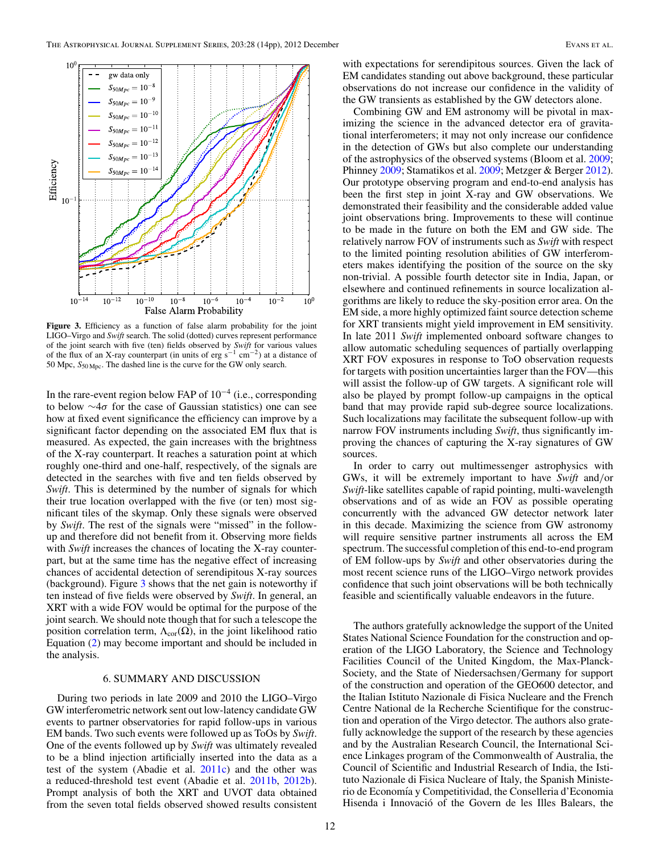<span id="page-13-0"></span>

Figure 3. Efficiency as a function of false alarm probability for the joint LIGO–Virgo and *Swift* search. The solid (dotted) curves represent performance of the joint search with five (ten) fields observed by *Swift* for various values of the flux of an X-ray counterpart (in units of erg s<sup>-1</sup> cm<sup>-2</sup>) at a distance of 50 Mpc, *S*50 Mpc. The dashed line is the curve for the GW only search.

In the rare-event region below FAP of 10−<sup>4</sup> (i.e., corresponding to below ∼4*σ* for the case of Gaussian statistics) one can see how at fixed event significance the efficiency can improve by a significant factor depending on the associated EM flux that is measured. As expected, the gain increases with the brightness of the X-ray counterpart. It reaches a saturation point at which roughly one-third and one-half, respectively, of the signals are detected in the searches with five and ten fields observed by *Swift*. This is determined by the number of signals for which their true location overlapped with the five (or ten) most significant tiles of the skymap. Only these signals were observed by *Swift*. The rest of the signals were "missed" in the followup and therefore did not benefit from it. Observing more fields with *Swift* increases the chances of locating the X-ray counterpart, but at the same time has the negative effect of increasing chances of accidental detection of serendipitous X-ray sources (background). Figure  $3$  shows that the net gain is noteworthy if ten instead of five fields were observed by *Swift*. In general, an XRT with a wide FOV would be optimal for the purpose of the joint search. We should note though that for such a telescope the position correlation term,  $\Lambda_{\text{cor}}(\Omega)$ , in the joint likelihood ratio Equation [\(2\)](#page-12-0) may become important and should be included in the analysis.

#### 6. SUMMARY AND DISCUSSION

During two periods in late 2009 and 2010 the LIGO–Virgo GW interferometric network sent out low-latency candidate GW events to partner observatories for rapid follow-ups in various EM bands. Two such events were followed up as ToOs by *Swift*. One of the events followed up by *Swift* was ultimately revealed to be a blind injection artificially inserted into the data as a test of the system (Abadie et al. [2011c\)](#page-14-0) and the other was a reduced-threshold test event (Abadie et al. [2011b,](#page-14-0) [2012b\)](#page-14-0). Prompt analysis of both the XRT and UVOT data obtained from the seven total fields observed showed results consistent

with expectations for serendipitous sources. Given the lack of EM candidates standing out above background, these particular observations do not increase our confidence in the validity of the GW transients as established by the GW detectors alone.

Combining GW and EM astronomy will be pivotal in maximizing the science in the advanced detector era of gravitational interferometers; it may not only increase our confidence in the detection of GWs but also complete our understanding of the astrophysics of the observed systems (Bloom et al. [2009;](#page-14-0) Phinney [2009;](#page-14-0) Stamatikos et al. [2009;](#page-15-0) Metzger & Berger [2012\)](#page-14-0). Our prototype observing program and end-to-end analysis has been the first step in joint X-ray and GW observations. We demonstrated their feasibility and the considerable added value joint observations bring. Improvements to these will continue to be made in the future on both the EM and GW side. The relatively narrow FOV of instruments such as *Swift* with respect to the limited pointing resolution abilities of GW interferometers makes identifying the position of the source on the sky non-trivial. A possible fourth detector site in India, Japan, or elsewhere and continued refinements in source localization algorithms are likely to reduce the sky-position error area. On the EM side, a more highly optimized faint source detection scheme for XRT transients might yield improvement in EM sensitivity. In late 2011 *Swift* implemented onboard software changes to allow automatic scheduling sequences of partially overlapping XRT FOV exposures in response to ToO observation requests for targets with position uncertainties larger than the FOV—this will assist the follow-up of GW targets. A significant role will also be played by prompt follow-up campaigns in the optical band that may provide rapid sub-degree source localizations. Such localizations may facilitate the subsequent follow-up with narrow FOV instruments including *Swift*, thus significantly improving the chances of capturing the X-ray signatures of GW sources.

In order to carry out multimessenger astrophysics with GWs, it will be extremely important to have *Swift* and*/*or *Swift*-like satellites capable of rapid pointing, multi-wavelength observations and of as wide an FOV as possible operating concurrently with the advanced GW detector network later in this decade. Maximizing the science from GW astronomy will require sensitive partner instruments all across the EM spectrum. The successful completion of this end-to-end program of EM follow-ups by *Swift* and other observatories during the most recent science runs of the LIGO–Virgo network provides confidence that such joint observations will be both technically feasible and scientifically valuable endeavors in the future.

The authors gratefully acknowledge the support of the United States National Science Foundation for the construction and operation of the LIGO Laboratory, the Science and Technology Facilities Council of the United Kingdom, the Max-Planck-Society, and the State of Niedersachsen*/*Germany for support of the construction and operation of the GEO600 detector, and the Italian Istituto Nazionale di Fisica Nucleare and the French Centre National de la Recherche Scientifique for the construction and operation of the Virgo detector. The authors also gratefully acknowledge the support of the research by these agencies and by the Australian Research Council, the International Science Linkages program of the Commonwealth of Australia, the Council of Scientific and Industrial Research of India, the Istituto Nazionale di Fisica Nucleare of Italy, the Spanish Ministerio de Economía y Competitividad, the Conselleria d'Economia Hisenda i Innovació of the Govern de les Illes Balears, the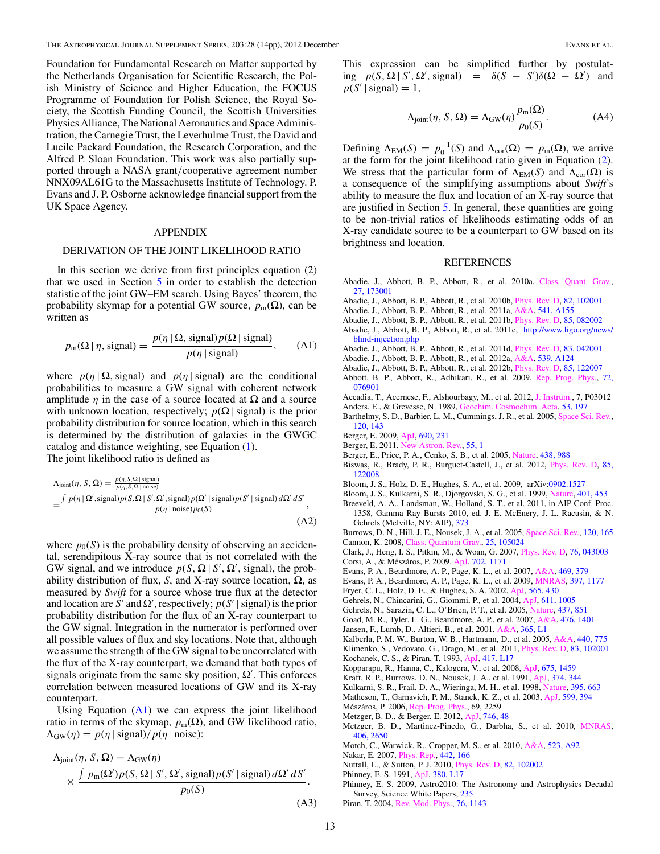<span id="page-14-0"></span>Foundation for Fundamental Research on Matter supported by the Netherlands Organisation for Scientific Research, the Polish Ministry of Science and Higher Education, the FOCUS Programme of Foundation for Polish Science, the Royal Society, the Scottish Funding Council, the Scottish Universities Physics Alliance, The National Aeronautics and Space Administration, the Carnegie Trust, the Leverhulme Trust, the David and Lucile Packard Foundation, the Research Corporation, and the Alfred P. Sloan Foundation. This work was also partially supported through a NASA grant*/*cooperative agreement number NNX09AL61G to the Massachusetts Institute of Technology. P. Evans and J. P. Osborne acknowledge financial support from the UK Space Agency.

#### APPENDIX

#### DERIVATION OF THE JOINT LIKELIHOOD RATIO

In this section we derive from first principles equation (2) that we used in Section  $5$  in order to establish the detection statistic of the joint GW–EM search. Using Bayes' theorem, the probability skymap for a potential GW source,  $p_m(\Omega)$ , can be written as

$$
p_{\rm m}(\Omega \mid \eta, \text{signal}) = \frac{p(\eta \mid \Omega, \text{signal})p(\Omega \mid \text{signal})}{p(\eta \mid \text{signal})}, \qquad (A1)
$$

where  $p(\eta | \Omega$ , signal) and  $p(\eta |$  signal) are the conditional probabilities to measure a GW signal with coherent network amplitude  $\eta$  in the case of a source located at  $\Omega$  and a source with unknown location, respectively;  $p(\Omega | signal)$  is the prior probability distribution for source location, which in this search is determined by the distribution of galaxies in the GWGC catalog and distance weighting, see Equation [\(1\)](#page-7-0). The joint likelihood ratio is defined as

$$
\Lambda_{\text{joint}}(\eta, S, \Omega) = \frac{p(\eta, S, \Omega \text{ signal})}{p(\eta, S, \Omega \text{ | noise})} \n= \frac{\int p(\eta \mid \Omega', \text{signal}) p(S, \Omega \mid S', \Omega', \text{signal}) p(\Omega' \mid \text{signal}) p(S' \mid \text{signal}) d\Omega' dS'}{p(\eta \mid \text{noise}) p_0(S)}
$$
\n(A2)

where  $p_0(S)$  is the probability density of observing an accidental, serendipitous X-ray source that is not correlated with the GW signal, and we introduce  $p(S, \Omega | S', \Omega', \text{signal})$ , the probability distribution of flux, *S*, and X-ray source location,  $Ω$ , as measured by *Swift* for a source whose true flux at the detector and location are *S'* and  $\Omega'$ , respectively;  $p(S' | signal)$  is the prior probability distribution for the flux of an X-ray counterpart to the GW signal. Integration in the numerator is performed over all possible values of flux and sky locations. Note that, although we assume the strength of the GW signal to be uncorrelated with the flux of the X-ray counterpart, we demand that both types of signals originate from the same sky position,  $\Omega'$ . This enforces correlation between measured locations of GW and its X-ray counterpart.

Using Equation  $(A1)$  we can express the joint likelihood ratio in terms of the skymap,  $p_m(\Omega)$ , and GW likelihood ratio,  $\Lambda_{\text{GW}}(\eta) = p(\eta \mid \text{signal})/p(\eta \mid \text{noise})$ :

$$
\Delta_{\text{joint}}(\eta, S, \Omega) = \Delta_{\text{GW}}(\eta)
$$
  
 
$$
\times \frac{\int p_{\text{m}}(\Omega')p(S, \Omega \mid S', \Omega', \text{signal})p(S' \mid \text{signal}) d\Omega' dS'}{p_0(S)}.
$$

This expression can be simplified further by postulat- $\int_{\mathcal{S}} p(S, \Omega | S', \Omega', \text{signal}) = \delta(S - S')\delta(\Omega - \Omega')$  and  $p(S' | signal) = 1$ ,

$$
\Lambda_{\text{joint}}(\eta, S, \Omega) = \Lambda_{\text{GW}}(\eta) \frac{p_{\text{m}}(\Omega)}{p_0(S)}.
$$
 (A4)

Defining  $\Lambda_{EM}(S) = p_0^{-1}(S)$  and  $\Lambda_{cor}(\Omega) = p_m(\Omega)$ , we arrive at the form for the joint likelihood ratio given in Equation [\(2\)](#page-12-0). We stress that the particular form of  $\Lambda_{EM}(S)$  and  $\Lambda_{cor}(\Omega)$  is a consequence of the simplifying assumptions about *Swift*'s ability to measure the flux and location of an X-ray source that are justified in Section [5.](#page-11-0) In general, these quantities are going to be non-trivial ratios of likelihoods estimating odds of an X-ray candidate source to be a counterpart to GW based on its brightness and location.

#### REFERENCES

- Abadie, J., Abbott, B. P., Abbott, R., et al. 2010a, [Class. Quant. Grav.,](http://dx.doi.org/10.1088/0264-9381/27/17/173001) [27, 173001](http://adsabs.harvard.edu/abs/2010CQGra..27q3001A)
- Abadie, J., Abbott, B. P., Abbott, R., et al. 2010b, [Phys. Rev. D,](http://dx.doi.org/10.1103/PhysRevD.82.102001) [82, 102001](http://adsabs.harvard.edu/abs/2010PhRvD..82j2001A)
- Abadie, J., Abbott, B. P., Abbott, R., et al. 2011a, [A&A,](http://dx.doi.org/10.1051/0004-6361/201218860) [541, A155](http://adsabs.harvard.edu/abs/2012A&A...541A.155A)
- Abadie, J., Abbott, B. P., Abbott, R., et al. 2011b, [Phys. Rev. D,](http://dx.doi.org/10.1103/PhysRevD.85.082002) [85, 082002](http://adsabs.harvard.edu/abs/2012PhRvD..85h2002A)
- Abadie, J., Abbott, B. P., Abbott, R., et al. 2011c, [http://www.ligo.org/news/](http://www.ligo.org/news/blind-injection.php) [blind-injection.php](http://www.ligo.org/news/blind-injection.php)
- Abadie, J., Abbott, B. P., Abbott, R., et al. 2011d, [Phys. Rev. D,](http://dx.doi.org/10.1103/PhysRevD.83.042001) [83, 042001](http://adsabs.harvard.edu/abs/2011PhRvD..83d2001A)
- Abadie, J., Abbott, B. P., Abbott, R., et al. 2012a, [A&A,](http://dx.doi.org/10.1051/0004-6361/201118219) [539, A124](http://adsabs.harvard.edu/abs/2012A&A...539A.124A)
- Abadie, J., Abbott, B. P., Abbott, R., et al. 2012b, [Phys. Rev. D,](http://dx.doi.org/10.1103/PhysRevD.85.122007) [85, 122007](http://adsabs.harvard.edu/abs/2012PhRvD..85l2007A)
- Abbott, B. P., Abbott, R., Adhikari, R., et al. 2009, [Rep. Prog. Phys.,](http://dx.doi.org/10.1088/0034-4885/72/7/076901) [72,](http://adsabs.harvard.edu/abs/2009RPPh...72g6901A) [076901](http://adsabs.harvard.edu/abs/2009RPPh...72g6901A)
- Accadia, T., Acernese, F., Alshourbagy, M., et al. 2012, [J. Instrum.,](http://dx.doi.org/10.1088/1748-0221/7/03/P03012) 7, P03012
- Anders, E., & Grevesse, N. 1989, [Geochim. Cosmochim. Acta,](http://dx.doi.org/10.1016/0016-7037(89)90286-X) [53, 197](http://adsabs.harvard.edu/abs/1989GeCoA..53..197A)
- Barthelmy, S. D., Barbier, L. M., Cummings, J. R., et al. 2005, [Space Sci. Rev.,](http://dx.doi.org/10.1007/s11214-005-5096-3) [120, 143](http://adsabs.harvard.edu/abs/2005SSRv..120..143B)
- Berger, E. 2009, [ApJ,](http://dx.doi.org/10.1088/0004-637X/690/1/231) [690, 231](http://adsabs.harvard.edu/abs/2009ApJ...690..231B)
- Berger, E. 2011, [New Astron. Rev.,](http://dx.doi.org/10.1016/j.newar.2010.10.001) [55, 1](http://adsabs.harvard.edu/abs/2011NewAR..55....1B)
- Berger, E., Price, P. A., Cenko, S. B., et al. 2005, [Nature,](http://dx.doi.org/10.1038/nature04238) [438, 988](http://adsabs.harvard.edu/abs/2005Natur.438..988B)
- Biswas, R., Brady, P. R., Burguet-Castell, J., et al. 2012, [Phys. Rev. D,](http://dx.doi.org/10.1103/PhysRevD.85.122008) [85,](http://adsabs.harvard.edu/abs/2012PhRvD..85l2008B) [122008](http://adsabs.harvard.edu/abs/2012PhRvD..85l2008B)
- Bloom, J. S., Holz, D. E., Hughes, S. A., et al. 2009, arXiv[:0902.1527](http://www.arxiv.org/abs/0902.1527)
- Bloom, J. S., Kulkarni, S. R., Djorgovski, S. G., et al. 1999, [Nature,](http://dx.doi.org/10.1038/46744) [401, 453](http://adsabs.harvard.edu/abs/1999Natur.401..453B)
- Breeveld, A. A., Landsman, W., Holland, S. T., et al. 2011, in AIP Conf. Proc. 1358, Gamma Ray Bursts 2010, ed. J. E. McEnery, J. L. Racusin, & N. Gehrels (Melville, NY: AIP), [373](http://adsabs.harvard.edu/abs/2011AIPC.1358..373B)
- Burrows, D. N., Hill, J. E., Nousek, J. A., et al. 2005, [Space Sci. Rev.,](http://dx.doi.org/10.1007/s11214-005-5097-2) [120, 165](http://adsabs.harvard.edu/abs/2005SSRv..120..165B) Cannon, K. 2008, [Class. Quantum Grav.,](http://dx.doi.org/10.1088/0264-9381/25/10/105024) [25, 105024](http://adsabs.harvard.edu/abs/2008CQGra..25j5024C)
- Clark, J., Heng, I. S., Pitkin, M., & Woan, G. 2007, [Phys. Rev. D,](http://dx.doi.org/10.1103/PhysRevD.76.043003) [76, 043003](http://adsabs.harvard.edu/abs/2007PhRvD..76d3003C) Corsi, A., & Mészáros, P. 2009, [ApJ,](http://dx.doi.org/10.1088/0004-637X/702/2/1171) [702, 1171](http://adsabs.harvard.edu/abs/2009ApJ...702.1171C)
- Evans, P. A., Beardmore, A. P., Page, K. L., et al. 2007, [A&A,](http://dx.doi.org/10.1051/0004-6361:20077530) [469, 379](http://adsabs.harvard.edu/abs/2007A&A...469..379E)
- Evans, P. A., Beardmore, A. P., Page, K. L., et al. 2009, [MNRAS,](http://dx.doi.org/10.1111/j.1365-2966.2009.14913.x) [397, 1177](http://adsabs.harvard.edu/abs/2009MNRAS.397.1177E)
- Fryer, C. L., Holz, D. E., & Hughes, S. A. 2002, [ApJ,](http://dx.doi.org/10.1086/324034) [565, 430](http://adsabs.harvard.edu/abs/2002ApJ...565..430F)
- Gehrels, N., Chincarini, G., Giommi, P., et al. 2004, [ApJ,](http://dx.doi.org/10.1086/422091) [611, 1005](http://adsabs.harvard.edu/abs/2004ApJ...611.1005G)
- Gehrels, N., Sarazin, C. L., O'Brien, P. T., et al. 2005, [Nature,](http://dx.doi.org/10.1038/nature04142) [437, 851](http://adsabs.harvard.edu/abs/2005Natur.437..851G)
- Goad, M. R., Tyler, L. G., Beardmore, A. P., et al. 2007, [A&A,](http://dx.doi.org/10.1051/0004-6361:20078436) [476, 1401](http://adsabs.harvard.edu/abs/2007A&A...476.1401G)
- Jansen, F., Lumb, D., Altieri, B., et al. 2001, [A&A,](http://dx.doi.org/10.1051/0004-6361:20000036) [365, L1](http://adsabs.harvard.edu/abs/2001A&A...365L...1J)
- Kalberla, P. M. W., Burton, W. B., Hartmann, D., et al. 2005, [A&A,](http://dx.doi.org/10.1051/0004-6361:20041864) [440, 775](http://adsabs.harvard.edu/abs/2005A&A...440..775K) Klimenko, S., Vedovato, G., Drago, M., et al. 2011, [Phys. Rev. D,](http://dx.doi.org/10.1103/PhysRevD.83.102001) [83, 102001](http://adsabs.harvard.edu/abs/2011PhRvD..83j2001K) Kochanek, C. S., & Piran, T. 1993, [ApJ,](http://dx.doi.org/10.1086/187083) [417, L17](http://adsabs.harvard.edu/abs/1993ApJ...417L..17K)
- Kopparapu, R., Hanna, C., Kalogera, V., et al. 2008, [ApJ,](http://dx.doi.org/10.1086/527348) [675, 1459](http://adsabs.harvard.edu/abs/2008ApJ...675.1459K)
- Kraft, R. P., Burrows, D. N., Nousek, J. A., et al. 1991, [ApJ,](http://dx.doi.org/10.1086/170124) [374, 344](http://adsabs.harvard.edu/abs/1991ApJ...374..344K)
- Kulkarni, S. R., Frail, D. A., Wieringa, M. H., et al. 1998, [Nature,](http://dx.doi.org/10.1038/27139) [395, 663](http://adsabs.harvard.edu/abs/1998Natur.395..663K) Matheson, T., Garnavich, P. M., Stanek, K. Z., et al. 2003, [ApJ,](http://dx.doi.org/10.1086/379228) [599, 394](http://adsabs.harvard.edu/abs/2003ApJ...599..394M)
- Mészáros, P. 2006, [Rep. Prog. Phys.,](http://dx.doi.org/10.1088/0034-4885/69/8/R01) 69, 2259
- Metzger, B. D., & Berger, E. 2012, [ApJ,](http://dx.doi.org/10.1088/0004-637X/746/1/48) [746, 48](http://adsabs.harvard.edu/abs/2012ApJ...746...48M)
- Metzger, B. D., Martinez-Pinedo, G., Darbha, S., et al. 2010, [MNRAS,](http://dx.doi.org/10.1111/j.1365-2966.2010.16864.x) [406, 2650](http://adsabs.harvard.edu/abs/2010MNRAS.406.2650M)
- Motch, C., Warwick, R., Cropper, M. S., et al. 2010, [A&A,](http://dx.doi.org/10.1051/0004-6361/200913570) [523, A92](http://adsabs.harvard.edu/abs/2010A&A...523A..92M)
- Nakar, E. 2007, [Phys. Rep.,](http://dx.doi.org/10.1016/j.physrep.2007.02.005) [442, 166](http://adsabs.harvard.edu/abs/2007PhR...442..166N)
- Nuttall, L., & Sutton, P. J. 2010, [Phys. Rev. D,](http://dx.doi.org/10.1103/PhysRevD.82.102002) [82, 102002](http://adsabs.harvard.edu/abs/2010PhRvD..82j2002N)
- Phinney, E. S. 1991, [ApJ,](http://dx.doi.org/10.1086/186163) [380, L17](http://adsabs.harvard.edu/abs/1991ApJ...380L..17P)
- Phinney, E. S. 2009, Astro2010: The Astronomy and Astrophysics Decadal Survey, Science White Papers, [235](http://adsabs.harvard.edu/abs/2009astro2010S.235P)
- Piran, T. 2004, [Rev. Mod. Phys.,](http://dx.doi.org/10.1103/RevModPhys.76.1143) [76, 1143](http://adsabs.harvard.edu/abs/2004RvMP...76.1143P)

(A3)